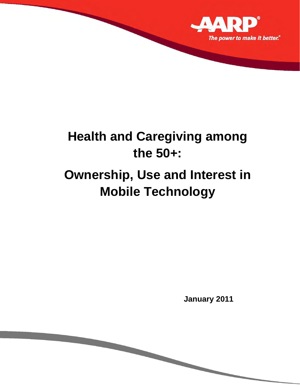

# **Health and Caregiving among the 50+:**

# **Ownership, Use and Interest in Mobile Technology**

**January 2011**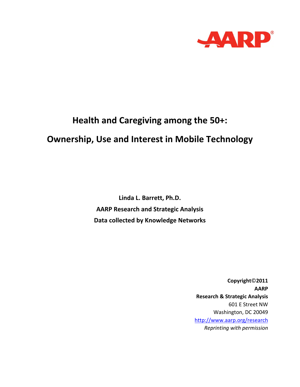

# **Health and Caregiving among the 50+:**

# **Ownership, Use and Interest in Mobile Technology**

**Linda L. Barrett, Ph.D. AARP Research and Strategic Analysis Data collected by Knowledge Networks**

> **Copyright**©**2011 AARP Research & Strategic Analysis** 601 E Street NW Washington, DC 20049 http://www.aarp.org/research *Reprinting with permission*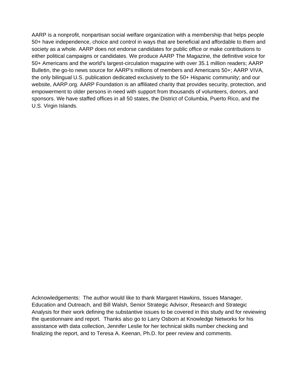AARP is a nonprofit, nonpartisan social welfare organization with a membership that helps people 50+ have independence, choice and control in ways that are beneficial and affordable to them and society as a whole. AARP does not endorse candidates for public office or make contributions to either political campaigns or candidates. We produce AARP The Magazine, the definitive voice for 50+ Americans and the world's largest-circulation magazine with over 35.1 million readers; AARP Bulletin, the go-to news source for AARP's millions of members and Americans 50+; AARP VIVA, the only bilingual U.S. publication dedicated exclusively to the 50+ Hispanic community; and our website, AARP.org. AARP Foundation is an affiliated charity that provides security, protection, and empowerment to older persons in need with support from thousands of volunteers, donors, and sponsors. We have staffed offices in all 50 states, the District of Columbia, Puerto Rico, and the U.S. Virgin Islands.

Acknowledgements: The author would like to thank Margaret Hawkins, Issues Manager, Education and Outreach, and Bill Walsh, Senior Strategic Advisor, Research and Strategic Analysis for their work defining the substantive issues to be covered in this study and for reviewing the questionnaire and report. Thanks also go to Larry Osborn at Knowledge Networks for his assistance with data collection, Jennifer Leslie for her technical skills number checking and finalizing the report, and to Teresa A. Keenan, Ph.D. for peer review and comments.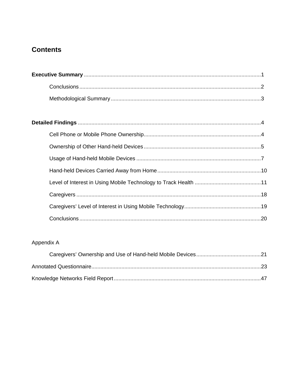# **Contents**

# Appendix A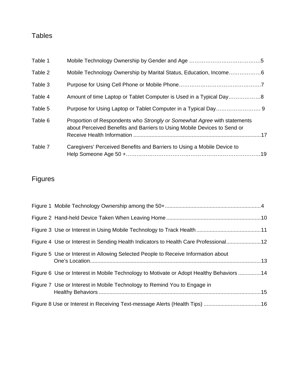# Tables

| Table 1 |                                                                                                                                                      |
|---------|------------------------------------------------------------------------------------------------------------------------------------------------------|
| Table 2 | Mobile Technology Ownership by Marital Status, Education, Income6                                                                                    |
| Table 3 |                                                                                                                                                      |
| Table 4 | Amount of time Laptop or Tablet Computer is Used in a Typical Day8                                                                                   |
| Table 5 |                                                                                                                                                      |
| Table 6 | Proportion of Respondents who Strongly or Somewhat Agree with statements<br>about Perceived Benefits and Barriers to Using Mobile Devices to Send or |
| Table 7 | Caregivers' Perceived Benefits and Barriers to Using a Mobile Device to                                                                              |

# Figures

| Figure 4 Use or Interest in Sending Health Indicators to Health Care Professional12     |  |
|-----------------------------------------------------------------------------------------|--|
| Figure 5 Use or Interest in Allowing Selected People to Receive Information about       |  |
| Figure 6 Use or Interest in Mobile Technology to Motivate or Adopt Healthy Behaviors 14 |  |
| Figure 7 Use or Interest in Mobile Technology to Remind You to Engage in                |  |
|                                                                                         |  |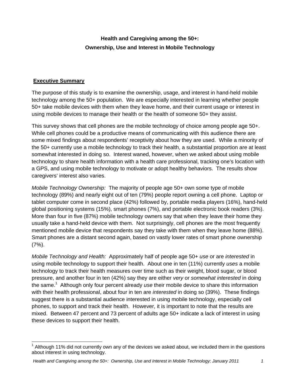# **Health and Caregiving among the 50+: Ownership, Use and Interest in Mobile Technology**

# **Executive Summary**

The purpose of this study is to examine the ownership, usage, and interest in hand-held mobile technology among the 50+ population. We are especially interested in learning whether people 50+ take mobile devices with them when they leave home, and their current usage or interest in using mobile devices to manage their health or the health of someone 50+ they assist.

This survey shows that cell phones are the mobile technology of choice among people age 50+. While cell phones could be a productive means of communicating with this audience there are some mixed findings about respondents' receptivity about how they are used. While a minority of the 50+ currently use a mobile technology to track their health, a substantial proportion are at least somewhat interested in doing so. Interest waned, however, when we asked about using mobile technology to share health information with a health care professional, tracking one's location with a GPS, and using mobile technology to motivate or adopt healthy behaviors. The results show caregivers' interest also varies.

*Mobile Technology Ownership:* The majority of people age 50+ own some type of mobile technology (89%) and nearly eight out of ten (79%) people report owning a cell phone. Laptop or tablet computer come in second place (42%) followed by, portable media players (16%), hand-held global positioning systems (15%), smart phones (7%), and portable electronic book readers (3%). More than four in five (87%) mobile technology owners say that when they leave their home they usually take a hand-held device with them. Not surprisingly, cell phones are the most frequently mentioned mobile device that respondents say they take with them when they leave home (88%). Smart phones are a distant second again, based on vastly lower rates of smart phone ownership (7%).

*Mobile Technology and Health:* Approximately half of people age 50+ *use* or are *interested* in using mobile technology to support their health. About one in ten (11%) currently *uses* a mobile technology to track their health measures over time such as their weight, blood sugar, or blood pressure, and another four in ten (42%) say they are either *very* or *somewhat interested* in doing the same.<sup>1</sup> Although only four percent already use their mobile device to share this information with their health professional, about four in ten are *interested* in doing so (39%). These findings suggest there is a substantial audience interested in using mobile technology, especially cell phones, to support and track their health. However, it is important to note that the results are mixed. Between 47 percent and 73 percent of adults age 50+ indicate a lack of interest in using these devices to support their health.

  $1$  Although 11% did not currently own any of the devices we asked about, we included them in the questions about interest in using technology.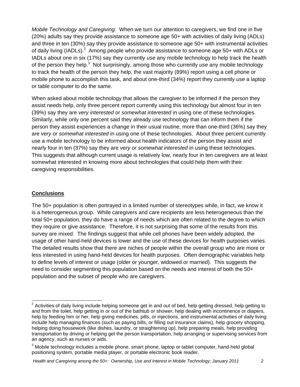*Mobile Technology and Caregiving:* When we turn our attention to caregivers, we find one in five (20%) adults say they provide assistance to someone age 50+ with activities of daily living (ADLs) and three in ten (30%) say they provide assistance to someone age 50+ with instrumental activities of daily living (IADLs).<sup>2</sup> Among people who provide assistance to someone age 50+ with ADLs or IADLs about one in six (17%) say they currently *use* any mobile technology to help track the health of the person they help.<sup>3</sup> Not surprisingly, among those who currently *use* any mobile technology to track the health of the person they help, the vast majority (89%) report using a cell phone or mobile phone to accomplish this task, and about one-third (34%) report they currently *use* a laptop or table computer to do the same.

When asked about mobile technology that allows the caregiver to be informed if the person they assist needs help, only three percent report currently using this technology but almost four in ten (39%) say they are *very interested* or *somewhat interested* in using one of these technologies. Similarly, while only one percent said they already use technology that can inform them if the person they assist experiences a change in their usual routine, more than one-third (36%) say they are *very or somewhat interested* in using one of these technologies. About three percent currently use a mobile technology to be informed about health indicators of the person they assist and nearly four in ten (37%) say they are *very or somewhat interested* in using these technologies. This suggests that although current usage is relatively low, nearly four in ten caregivers are at least somewhat interested in knowing more about technologies that could help them with their caregiving responsibilities.

# **Conclusions**

The 50+ population is often portrayed in a limited number of stereotypes while, in fact, we know it is a heterogeneous group. While caregivers and care recipients are less heterogeneous than the total 50+ population, they do have a range of needs which are often related to the degree to which they require or give assistance. Therefore, it is not surprising that some of the results from this survey are mixed. The findings suggest that while cell phones have been widely adopted, the usage of other hand-held devices is lower and the use of these devices for health purposes varies. The detailed results show that there are niches of people within the overall group who are more or less interested in using hand-held devices for health purposes. Often demographic variables help to define levels of interest or usage (older or younger, widowed or married). This suggests the need to consider segmenting this population based on the needs and interest of both the 50+ population and the subset of people who are caregivers.

<sup>&</sup>lt;u>2</u><br><sup>2</sup> Activities of daily living include helping someone get in and out of bed, help getting dressed, help getting to and from the toilet, help getting in or out of the bathtub or shower, help dealing with incontinence or diapers, help by feeding him or her, help giving medicines, pills, or injections, and instrumental activities of daily living include help managing finances (such as paying bills, or filling out insurance claims), help grocery shopping, helping doing housework (like dishes, laundry, or straightening up), help preparing meals, help providing transportation by driving or helping get the person transportation, help arranging or supervising services from an agency, such as nurses or aids.

 $3$  Mobile technology includes a mobile phone, smart phone, laptop or tablet computer, hand-held global positioning system, portable media player, or portable electronic book reader.

*Health and Caregiving among the 50+: Ownership, Use and Interest in Mobile Technology; January 2011 2*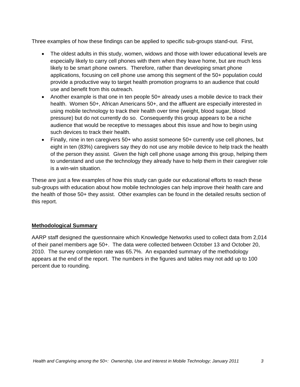Three examples of how these findings can be applied to specific sub-groups stand-out. First,

- The oldest adults in this study, women, widows and those with lower educational levels are especially likely to carry cell phones with them when they leave home, but are much less likely to be smart phone owners. Therefore, rather than developing smart phone applications, focusing on cell phone use among this segment of the 50+ population could provide a productive way to target health promotion programs to an audience that could use and benefit from this outreach.
- Another example is that one in ten people 50+ already uses a mobile device to track their health. Women 50+, African Americans 50+, and the affluent are especially interested in using mobile technology to track their health over time (weight, blood sugar, blood pressure) but do not currently do so. Consequently this group appears to be a niche audience that would be receptive to messages about this issue and how to begin using such devices to track their health.
- Finally, nine in ten caregivers 50+ who assist someone 50+ currently use cell phones, but eight in ten (83%) caregivers say they do not use any mobile device to help track the health of the person they assist. Given the high cell phone usage among this group, helping them to understand and use the technology they already have to help them in their caregiver role is a win-win situation.

These are just a few examples of how this study can guide our educational efforts to reach these sub-groups with education about how mobile technologies can help improve their health care and the health of those 50+ they assist. Other examples can be found in the detailed results section of this report.

# **Methodological Summary**

AARP staff designed the questionnaire which Knowledge Networks used to collect data from 2,014 of their panel members age 50+. The data were collected between October 13 and October 20, 2010. The survey completion rate was 65.7%. An expanded summary of the methodology appears at the end of the report. The numbers in the figures and tables may not add up to 100 percent due to rounding.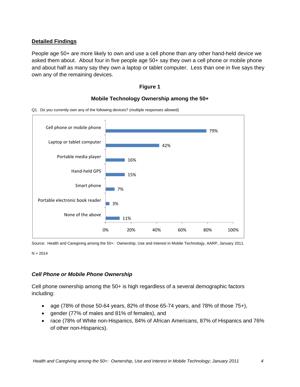# **Detailed Findings**

People age 50+ are more likely to own and use a cell phone than any other hand-held device we asked them about. About four in five people age 50+ say they own a cell phone or mobile phone and about half as many say they own a laptop or tablet computer. Less than one in five says they own any of the remaining devices.

#### **Figure 1**

**Mobile Technology Ownership among the 50+** 



Q1. Do you currently own any of the following devices? (multiple responses allowed)

Source: Health and Caregiving among the 50+: Ownership, Use and Interest in Mobile Technology, AARP, January 2011.

 $N = 2014$ 

# *Cell Phone or Mobile Phone Ownership*

Cell phone ownership among the 50+ is high regardless of a several demographic factors including:

- age (78% of those 50-64 years, 82% of those 65-74 years, and 78% of those  $75+$ ),
- gender (77% of males and 81% of females), and
- race (78% of White non-Hispanics, 84% of African Americans, 87% of Hispanics and 76% of other non-Hispanics).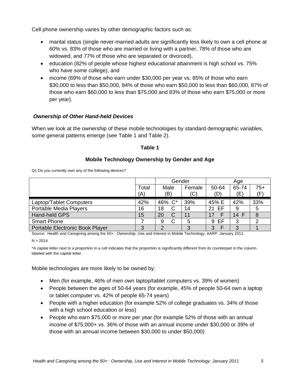Cell phone ownership varies by other demographic factors such as:

- marital status (single never-married adults are significantly less likely to own a cell phone at 60% vs. 83% of those who are married or living with a partner, 78% of those who are widowed, and 77% of those who are separated or divorced),
- education (82% of people whose highest educational attainment is high school vs. 75% who have some college), and
- income (69% of those who earn under \$30,000 per year vs. 85% of those who earn \$30,000 to less than \$50,000, 84% of those who earn \$50,000 to less than \$60,000, 87% of those who earn \$60,000 to less than \$75,000 and 83% of those who earn \$75,000 or more per year).

# *Ownership of Other Hand-held Devices*

When we look at the ownership of these mobile technologies by standard demographic variables, some general patterns emerge (see Table 1 and Table 2).

# **Table 1**

# **Mobile Technology Ownership by Gender and Age**

Q1 Do you currently own any of the following devices?

|                                 |       | Gender         |        |          | Age   |     |
|---------------------------------|-------|----------------|--------|----------|-------|-----|
|                                 | Total | Male           | Female | 50-64    | 65-74 | 75+ |
|                                 | (A)   | (B)            | (C)    | (D)      | (E)   | (F) |
| Laptop/Tablet Computers         | 42%   | 46% C*         | 39%    | 45% E    | 42%   | 33% |
| Portable Media Players          | 16    | 18<br>C        | 14     | ΕF<br>21 | 9     | 5   |
| Hand-held GPS                   | 15    | 20<br><b>C</b> |        | 17       | 14    | 8   |
| <b>Smart Phone</b>              |       | C              | 5      | 9 EF     | 3     | ⌒   |
| Portable Electronic Book Player | ≏     |                |        | 3        | 3     |     |

Source: Health and Caregiving among the 50+: Ownership, Use and Interest in Mobile Technology, AARP, January 2011.

 $N = 2014$ 

\*A capital letter next to a proportion in a cell indicates that the proportion is significantly different from its counterpart in the column labeled with the capital letter.

Mobile technologies are more likely to be owned by:

- Men (for example, 46% of men own laptop/tablet computers vs. 39% of women)
- People between the ages of 50-64 years (for example, 45% of people 50-64 own a laptop or tablet computer vs. 42% of people 65-74 years)
- People with a higher education (for example 52% of college graduates vs. 34% of those with a high school education or less)
- People who earn \$75,000 or more per year (for example 52% of those with an annual income of \$75,000+ vs. 36% of those with an annual income under \$30,000 or 39% of those with an annual income between \$30,000 to under \$50,000)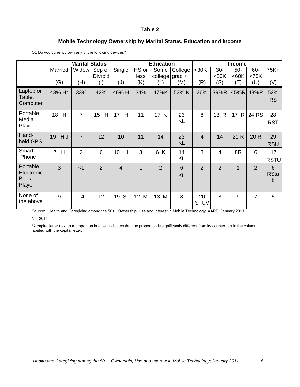#### **Table 2**

#### **Mobile Technology Ownership by Marital Status, Education and Income**

Q1 Do you currently own any of the following devices?

|                                                 | <b>Marital Status</b> |                |                   |                | <b>Education</b>     |                   |                 | <b>Income</b>     |                    |                    |                 |                       |
|-------------------------------------------------|-----------------------|----------------|-------------------|----------------|----------------------|-------------------|-----------------|-------------------|--------------------|--------------------|-----------------|-----------------------|
|                                                 | Married               | Widow          | Sep or<br>Divrc'd | Single         | HS or<br>less        | college $ grad +$ | Some College    | $30K$             | $30-$<br>$50K$     | $50-$<br><60K      | $60 -$<br>< 75K | 75K+                  |
|                                                 | (G)                   | (H)            | (1)               | (J)            | (K)                  | (L)               | (M)             | (R)               | (S)                | (T)                | (U)             | (V)                   |
| Laptop or<br>Tablet<br>Computer                 | 43% H*                | 33%            | 42%               | 46% H          | 34%                  | 47%K              | 52% K           | 36%               | 39%R               | 45%R               | 48%R            | 52%<br><b>RS</b>      |
| Portable<br>Media<br>Player                     | 18<br>H               | $\overline{7}$ | 15<br>H           | 17<br>H        | 11                   | 17 K              | 23<br>KL        | 8                 | 13<br>$\mathsf{R}$ | $\mathsf{R}$<br>17 | 24 RS           | 28<br><b>RST</b>      |
| Hand-<br>held GPS                               | <b>HIJ</b><br>19      | $\overline{7}$ | 12                | 10             | 11                   | 14                | 23<br><b>KL</b> | $\overline{4}$    | 14                 | 21 R               | 20 R            | 29<br><b>RSU</b>      |
| Smart<br>Phone                                  | $\overline{7}$<br>H   | $\overline{2}$ | 6                 | 10<br>H        | 3                    | 6<br>K            | 14<br>KL        | 3                 | $\overline{4}$     | 8R                 | 6               | 17<br><b>RSTU</b>     |
| Portable<br>Electronic<br><b>Book</b><br>Player | 3                     | $<$ 1          | $\overline{2}$    | $\overline{4}$ | 1                    | $\overline{2}$    | 6<br><b>KL</b>  | $\overline{2}$    | $\overline{2}$     | $\mathbf{1}$       | $\overline{2}$  | 6<br><b>RSta</b><br>b |
| None of<br>the above                            | 9                     | 14             | 12                | SI<br>19       | 12 <sub>2</sub><br>M | 13 M              | 8               | 20<br><b>STUV</b> | 8                  | 9                  | $\overline{7}$  | 5                     |

Source: Health and Caregiving among the 50+: Ownership, Use and Interest in Mobile Technology, AARP, January 2011.

 $N = 2014$ 

\*A capital letter next to a proportion in a cell indicates that the proportion is significantly different from its counterpart in the column labeled with the capital letter.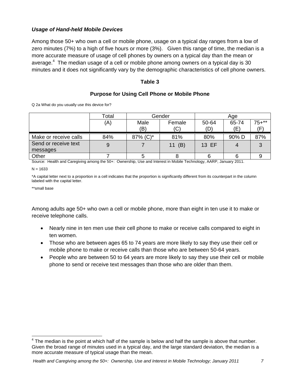# *Usage of Hand-held Mobile Devices*

Among those 50+ who own a cell or mobile phone, usage on a typical day ranges from a low of zero minutes (7%) to a high of five hours or more (3%). Given this range of time, the median is a more accurate measure of usage of cell phones by owners on a typical day than the mean or average. $4$  The median usage of a cell or mobile phone among owners on a typical day is 30 minutes and it does not significantly vary by the demographic characteristics of cell phone owners.

#### **Table 3**

## **Purpose for Using Cell Phone or Mobile Phone**

Q 2a What do you usually use this device for?

|                       | Total | Gender      |               | Age          |              |                  |
|-----------------------|-------|-------------|---------------|--------------|--------------|------------------|
|                       | (A)   | Male<br>(B) | Female<br>(C) | 50-64<br>(D) | 65-74<br>(E) | $75 + **$<br>(F) |
| Make or receive calls | 84%   | 87% (C)*    | 81%           | 80%          | 90% D        | 87%              |
| Send or receive text  | 9     |             | 11 $(B)$      | 13 EF        |              | 3                |
| messages              |       |             |               |              |              |                  |
| Other                 |       |             |               |              |              |                  |

Source: Health and Caregiving among the 50+: Ownership, Use and Interest in Mobile Technology, AARP, January 2011.

 $N = 1633$ 

\*A capital letter next to a proportion in a cell indicates that the proportion is significantly different from its counterpart in the column labeled with the capital letter.

\*\*small base

 $\overline{a}$ 

Among adults age 50+ who own a cell or mobile phone, more than eight in ten use it to make or receive telephone calls.

- Nearly nine in ten men use their cell phone to make or receive calls compared to eight in ten women.
- Those who are between ages 65 to 74 years are more likely to say they use their cell or mobile phone to make or receive calls than those who are between 50-64 years.
- People who are between 50 to 64 years are more likely to say they use their cell or mobile phone to send or receive text messages than those who are older than them.

 $<sup>4</sup>$  The median is the point at which half of the sample is below and half the sample is above that number.</sup> Given the broad range of minutes used in a typical day, and the large standard deviation, the median is a more accurate measure of typical usage than the mean.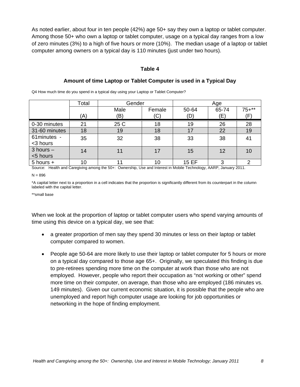As noted earlier, about four in ten people (42%) age 50+ say they own a laptop or tablet computer. Among those 50+ who own a laptop or tablet computer, usage on a typical day ranges from a low of zero minutes (3%) to a high of five hours or more (10%). The median usage of a laptop or tablet computer among owners on a typical day is 110 minutes (just under two hours).

#### **Table 4**

#### **Amount of time Laptop or Tablet Computer is used in a Typical Day**

Q4 How much time do you spend in a typical day using your Laptop or Tablet Computer?

|                            | Total | Gender                                                                                                       |        |              | Age   |          |  |
|----------------------------|-------|--------------------------------------------------------------------------------------------------------------|--------|--------------|-------|----------|--|
|                            |       | Male                                                                                                         | Female | 50-64        | 65-74 | $75+***$ |  |
|                            | (A)   | (B)                                                                                                          | (C)    | (D)          | (E)   | (F)      |  |
| 0-30 minutes               | 21    | 25 C                                                                                                         | 18     | 19           | 26    | 28       |  |
| 31-60 minutes              | 18    | 19                                                                                                           | 18     | 17           | 22    | 19       |  |
| 61minutes -<br><3 hours    | 35    | 32                                                                                                           | 38     | 33           | 38    | 41       |  |
| $3$ hours $-1$<br><5 hours | 14    | 11                                                                                                           | 17     | 15           | 12    | 10       |  |
| $5$ hours $+$              | 10    | Course Harlie and Consultant answer the COLLOUS and the conditioned in Makila Technology, AADD, Journal OO44 | 10     | <b>15 EF</b> | 3     |          |  |

Source: Health and Caregiving among the 50+: Ownership, Use and Interest in Mobile Technology, AARP, January 2011.

 $N = 896$ 

\*A capital letter next to a proportion in a cell indicates that the proportion is significantly different from its counterpart in the column labeled with the capital letter.

\*\*small base

When we look at the proportion of laptop or tablet computer users who spend varying amounts of time using this device on a typical day, we see that:

- a greater proportion of men say they spend 30 minutes or less on their laptop or tablet computer compared to women.
- People age 50-64 are more likely to use their laptop or tablet computer for 5 hours or more on a typical day compared to those age 65+. Originally, we speculated this finding is due to pre-retirees spending more time on the computer at work than those who are not employed. However, people who report their occupation as "not working or other" spend more time on their computer, on average, than those who are employed (186 minutes vs. 149 minutes). Given our current economic situation, it is possible that the people who are unemployed and report high computer usage are looking for job opportunities or networking in the hope of finding employment.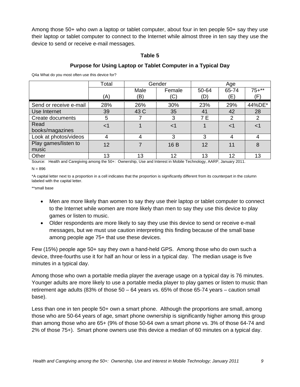Among those 50+ who own a laptop or tablet computer, about four in ten people 50+ say they use their laptop or tablet computer to connect to the Internet while almost three in ten say they use the device to send or receive e-mail messages.

#### **Table 5**

# **Purpose for Using Laptop or Tablet Computer in a Typical Day**

Q4a What do you most often use this device for?

|                        | Total | Gender |        | Age   |       |           |  |
|------------------------|-------|--------|--------|-------|-------|-----------|--|
|                        |       | Male   | Female | 50-64 | 65-74 | $75 + **$ |  |
|                        | (A)   | (B)    | (C)    | (D)   | (E)   | (F)       |  |
| Send or receive e-mail | 28%   | 26%    | 30%    | 23%   | 29%   | 44%DE*    |  |
| Use Internet           | 39    | 43 C   | 35     | 41    | 42    | 28        |  |
| Create documents       | 5     |        | 3      | 7 E   | 2     | 2         |  |
| Read                   | <1    |        | $<$ 1  |       | $<$ 1 | <1        |  |
| books/magazines        |       |        |        |       |       |           |  |
| Look at photos/videos  |       | 4      | 3      | 3     | 4     | 4         |  |
| Play games/listen to   | 12    | 7      | 16 B   | 12    | 11    | 8         |  |
| music                  |       |        |        |       |       |           |  |
| Other                  | 13    | 13     | 12     | 13    | 12    | 13        |  |

Source: Health and Caregiving among the 50+: Ownership, Use and Interest in Mobile Technology, AARP, January 2011.

 $N = 896$ 

\*A capital letter next to a proportion in a cell indicates that the proportion is significantly different from its counterpart in the column labeled with the capital letter.

\*\*small base

- Men are more likely than women to say they use their laptop or tablet computer to connect to the Internet while women are more likely than men to say they use this device to play games or listen to music.
- Older respondents are more likely to say they use this device to send or receive e-mail messages, but we must use caution interpreting this finding because of the small base among people age 75+ that use these devices.

Few (15%) people age 50+ say they own a hand-held GPS. Among those who do own such a device, three-fourths use it for half an hour or less in a typical day. The median usage is five minutes in a typical day.

Among those who own a portable media player the average usage on a typical day is 76 minutes. Younger adults are more likely to use a portable media player to play games or listen to music than retirement age adults (83% of those 50 – 64 years vs. 65% of those 65-74 years – caution small base).

Less than one in ten people 50+ own a smart phone. Although the proportions are small, among those who are 50-64 years of age, smart phone ownership is significantly higher among this group than among those who are 65+ (9% of those 50-64 own a smart phone vs. 3% of those 64-74 and 2% of those 75+). Smart phone owners use this device a median of 60 minutes on a typical day.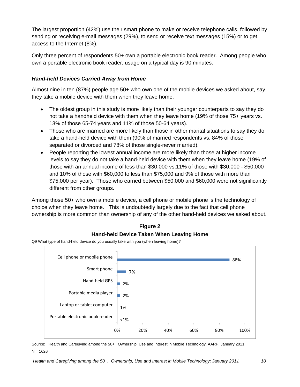The largest proportion (42%) use their smart phone to make or receive telephone calls, followed by sending or receiving e-mail messages (29%), to send or receive text messages (15%) or to get access to the Internet (8%).

Only three percent of respondents 50+ own a portable electronic book reader. Among people who own a portable electronic book reader, usage on a typical day is 90 minutes.

# *Hand-held Devices Carried Away from Home*

Almost nine in ten (87%) people age 50+ who own one of the mobile devices we asked about, say they take a mobile device with them when they leave home.

- The oldest group in this study is more likely than their younger counterparts to say they do not take a handheld device with them when they leave home (19% of those 75+ years vs. 13% of those 65-74 years and 11% of those 50-64 years).
- Those who are married are more likely than those in other marital situations to say they do take a hand-held device with them (90% of married respondents vs. 84% of those separated or divorced and 78% of those single-never married).
- People reporting the lowest annual income are more likely than those at higher income levels to say they do not take a hand-held device with them when they leave home (19% of those with an annual income of less than \$30,000 vs.11% of those with \$30,000 - \$50,000 and 10% of those with \$60,000 to less than \$75,000 and 9% of those with more than \$75,000 per year). Those who earned between \$50,000 and \$60,000 were not significantly different from other groups.

Among those 50+ who own a mobile device, a cell phone or mobile phone is the technology of choice when they leave home. This is undoubtedly largely due to the fact that cell phone ownership is more common than ownership of any of the other hand-held devices we asked about.

# **Figure 2 Hand-held Device Taken When Leaving Home**

Q9 What type of hand-held device do you usually take with you (when leaving home)?



Source: Health and Caregiving among the 50+: Ownership, Use and Interest in Mobile Technology, AARP, January 2011.  $N = 1626$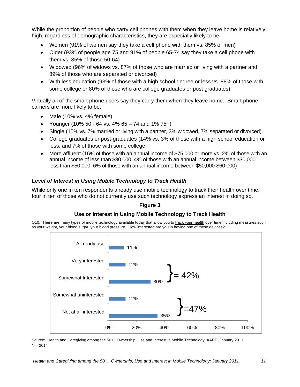While the proportion of people who carry cell phones with them when they leave home is relatively high, regardless of demographic characteristics, they are especially likely to be:

- Women (91% of women say they take a cell phone with them vs. 85% of men)
- Older (93% of people age 75 and 91% of people 65-74 say they take a cell phone with them vs. 85% of those 50-64)
- Widowed (96% of widows vs. 87% of those who are married or living with a partner and 89% of those who are separated or divorced)
- With less education (93% of those with a high school degree or less vs. 88% of those with some college or 80% of those who are college graduates or post graduates)

Virtually all of the smart phone users say they carry them when they leave home. Smart phone carriers are more likely to be:

- $\bullet$  Male (10% vs. 4% female)
- Younger (10% 50 64 vs. 4% 65 74 and 1% 75+)
- Single (15% vs. 7% married or living with a partner, 3% widowed, 7% separated or divorced)
- College graduates or post-graduates (14% vs. 3% of those with a high school education or less, and 7% of those with some college
- More affluent (16% of those with an annual income of \$75,000 or more vs. 2% of those with an annual income of less than \$30,000, 4% of those with an annual income between \$30,000 – less than \$50,000, 6% of those with an annual income between \$50,000-\$60,000)

# *Level of Interest in Using Mobile Technology to Track Health*

While only one in ten respondents already use mobile technology to track their health over time, four in ten of those who do not currently use such technology express an interest in doing so.

# **Figure 3**

#### **Use or Interest in Using Mobile Technology to Track Health**

Q10. There are many types of mobile technology available today that allow you to track your health over time including measures such as your weight, your blood sugar, your blood pressure. How interested are you in having one of these devices?



Source: Health and Caregiving among the 50+: Ownership, Use and Interest in Mobile Technology, AARP, January 2011.  $N = 2014$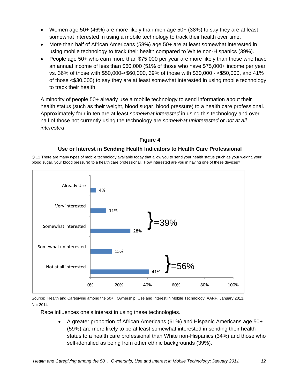- Women age 50+ (46%) are more likely than men age 50+ (38%) to say they are at least somewhat interested in using a mobile technology to track their health over time.
- More than half of African Americans (58%) age 50+ are at least somewhat interested in using mobile technology to track their health compared to White non-Hispanics (39%).
- People age 50+ who earn more than \$75,000 per year are more likely than those who have an annual income of less than \$60,000 (51% of those who have \$75,000+ income per year vs. 36% of those with \$50,000-<\$60,000, 39% of those with \$30,000 - <\$50,000, and 41% of those <\$30,000) to say they are at least somewhat interested in using mobile technology to track their health.

A minority of people 50+ already use a mobile technology to send information about their health status (such as their weight, blood sugar, blood pressure) to a health care professional. Approximately four in ten are at least *somewhat interested* in using this technology and over half of those not currently using the technology are *somewhat uninterested* or *not at all interested*.

# **Figure 4**

# **Use or Interest in Sending Health Indicators to Health Care Professional**

Q 11 There are many types of mobile technology available today that allow you to send your health status (such as your weight, your blood sugar, your blood pressure) to a health care professional. How interested are you in having one of these devices?



Source: Health and Caregiving among the 50+: Ownership, Use and Interest in Mobile Technology, AARP, January 2011.  $N = 2014$ 

Race influences one's interest in using these technologies.

 A greater proportion of African Americans (61%) and Hispanic Americans age 50+ (59%) are more likely to be at least somewhat interested in sending their health status to a health care professional than White non-Hispanics (34%) and those who self-identified as being from other ethnic backgrounds (39%).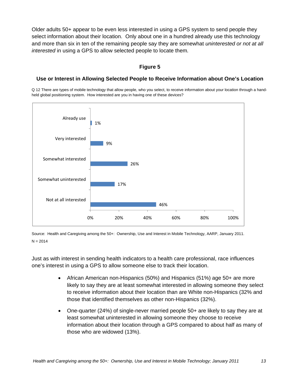Older adults 50+ appear to be even less interested in using a GPS system to send people they select information about their location. Only about one in a hundred already use this technology and more than six in ten of the remaining people say they are somewhat *uninterested or not at all interested* in using a GPS to allow selected people to locate them*.* 

# **Figure 5**

#### **Use or Interest in Allowing Selected People to Receive Information about One's Location**

Q 12 There are types of mobile technology that allow people, who you select, to receive information about your location through a handheld global positioning system. How interested are you in having one of these devices?



Source: Health and Caregiving among the 50+: Ownership, Use and Interest in Mobile Technology, AARP, January 2011.  $N = 2014$ 

Just as with interest in sending health indicators to a health care professional, race influences one's interest in using a GPS to allow someone else to track their location.

- African American non-Hispanics (50%) and Hispanics (51%) age 50+ are more likely to say they are at least somewhat interested in allowing someone they select to receive information about their location than are White non-Hispanics (32% and those that identified themselves as other non-Hispanics (32%).
- One-quarter (24%) of single-never married people 50+ are likely to say they are at least somewhat uninterested in allowing someone they choose to receive information about their location through a GPS compared to about half as many of those who are widowed (13%).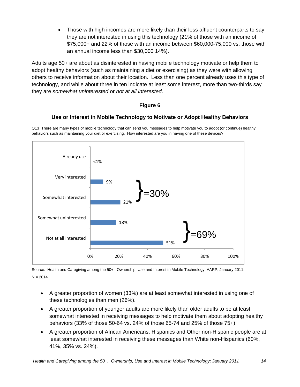Those with high incomes are more likely than their less affluent counterparts to say they are not interested in using this technology (21% of those with an income of \$75,000+ and 22% of those with an income between \$60,000-75,000 vs. those with an annual income less than \$30,000 14%).

Adults age 50+ are about as disinterested in having mobile technology motivate or help them to adopt healthy behaviors (such as maintaining a diet or exercising) as they were with allowing others to receive information about their location. Less than one percent already uses this type of technology, and while about three in ten indicate at least some interest, more than two-thirds say they are *somewhat uninterested* or *not at all interested*.

# **Figure 6**

# **Use or Interest in Mobile Technology to Motivate or Adopt Healthy Behaviors**

Q13 There are many types of mobile technology that can send you messages to help motivate you to adopt (or continue) healthy behaviors such as maintaining your diet or exercising. How interested are you in having one of these devices?



Source: Health and Caregiving among the 50+: Ownership, Use and Interest in Mobile Technology, AARP, January 2011.  $N = 2014$ 

- A greater proportion of women (33%) are at least somewhat interested in using one of these technologies than men (26%).
- A greater proportion of younger adults are more likely than older adults to be at least somewhat interested in receiving messages to help motivate them about adopting healthy behaviors (33% of those 50-64 vs. 24% of those 65-74 and 25% of those 75+)
- A greater proportion of African Americans, Hispanics and Other non-Hispanic people are at least somewhat interested in receiving these messages than White non-Hispanics (60%, 41%, 35% vs. 24%).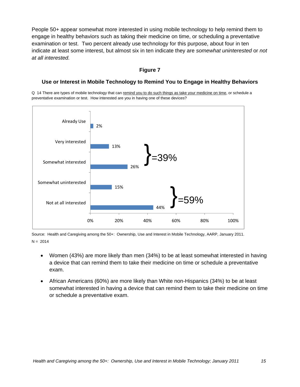People 50+ appear somewhat more interested in using mobile technology to help remind them to engage in healthy behaviors such as taking their medicine on time, or scheduling a preventative examination or test. Two percent already use technology for this purpose, about four in ten indicate at least some interest, but almost six in ten indicate they are *somewhat uninterested* or *not at all interested.* 

## **Figure 7**

## **Use or Interest in Mobile Technology to Remind You to Engage in Healthy Behaviors**

Q 14 There are types of mobile technology that can remind you to do such things as take your medicine on time, or schedule a preventative examination or test. How interested are you in having one of these devices?



Source: Health and Caregiving among the 50+: Ownership, Use and Interest in Mobile Technology, AARP, January 2011.  $N = 2014$ 

- Women (43%) are more likely than men (34%) to be at least somewhat interested in having a device that can remind them to take their medicine on time or schedule a preventative exam.
- African Americans (60%) are more likely than White non-Hispanics (34%) to be at least somewhat interested in having a device that can remind them to take their medicine on time or schedule a preventative exam.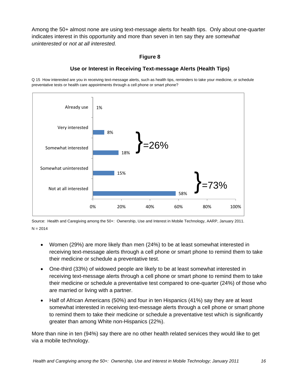Among the 50+ almost none are using text-message alerts for health tips. Only about one-quarter indicates interest in this opportunity and more than seven in ten say they are *somewhat uninterested* or *not at all interested.* 

## **Figure 8**



# **Use or Interest in Receiving Text-message Alerts (Health Tips)**

Q 15 How interested are you in receiving text-message alerts, such as health tips, reminders to take your medicine, or schedule preventative tests or health care appointments through a cell phone or smart phone?

Source: Health and Caregiving among the 50+: Ownership, Use and Interest in Mobile Technology, AARP, January 2011.  $N = 2014$ 

- Women (29%) are more likely than men (24%) to be at least somewhat interested in receiving text-message alerts through a cell phone or smart phone to remind them to take their medicine or schedule a preventative test.
- One-third (33%) of widowed people are likely to be at least somewhat interested in receiving text-message alerts through a cell phone or smart phone to remind them to take their medicine or schedule a preventative test compared to one-quarter (24%) of those who are married or living with a partner.
- Half of African Americans (50%) and four in ten Hispanics (41%) say they are at least somewhat interested in receiving text-message alerts through a cell phone or smart phone to remind them to take their medicine or schedule a preventative test which is significantly greater than among White non-Hispanics (22%).

More than nine in ten (94%) say there are no other health related services they would like to get via a mobile technology.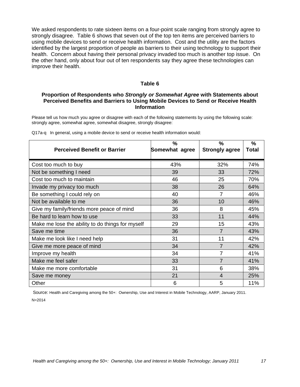We asked respondents to rate sixteen items on a four-point scale ranging from strongly agree to strongly disagree. Table 6 shows that seven out of the top ten items are perceived barriers to using mobile devices to send or receive health information. Cost and the utility are the factors identified by the largest proportion of people as barriers to their using technology to support their health. Concern about having their personal privacy invaded too much is another top issue. On the other hand, only about four out of ten respondents say they agree these technologies can improve their health.

#### **Table 6**

#### **Proportion of Respondents who** *Strongly or Somewhat Agree* **with Statements about Perceived Benefits and Barriers to Using Mobile Devices to Send or Receive Health Information**

Please tell us how much you agree or disagree with each of the following statements by using the following scale: strongly agree, somewhat agree, somewhat disagree, strongly disagree:

| <b>Perceived Benefit or Barrier</b>              | $\frac{9}{6}$<br>Somewhat agree | $\frac{9}{6}$<br><b>Strongly agree</b> | $\frac{9}{6}$<br><b>Total</b> |
|--------------------------------------------------|---------------------------------|----------------------------------------|-------------------------------|
| Cost too much to buy                             | 43%                             | 32%                                    | 74%                           |
| Not be something I need                          | 39                              | 33                                     | 72%                           |
| Cost too much to maintain                        | 46                              | 25                                     | 70%                           |
| Invade my privacy too much                       | 38                              | 26                                     | 64%                           |
| Be something I could rely on                     | 40                              | 7                                      | 46%                           |
| Not be available to me                           | 36                              | 10                                     | 46%                           |
| Give my family/friends more peace of mind        | 36                              | 8                                      | 45%                           |
| Be hard to learn how to use                      | 33                              | 11                                     | 44%                           |
| Make me lose the ability to do things for myself | 29                              | 15                                     | 43%                           |
| Save me time                                     | 36                              | 7                                      | 43%                           |
| Make me look like I need help                    | 31                              | 11                                     | 42%                           |
| Give me more peace of mind                       | 34                              | 7                                      | 42%                           |
| Improve my health                                | 34                              | 7                                      | 41%                           |
| Make me feel safer                               | 33                              | 7                                      | 41%                           |
| Make me more comfortable                         | 31                              | 6                                      | 38%                           |
| Save me money                                    | 21                              | $\overline{4}$                         | 25%                           |
| Other                                            | 6                               | 5                                      | 11%                           |

Q17a-q In general, using a mobile device to send or receive health information would:

 Source: Health and Caregiving among the 50+: Ownership, Use and Interest in Mobile Technology, AARP, January 2011.  $N = 2014$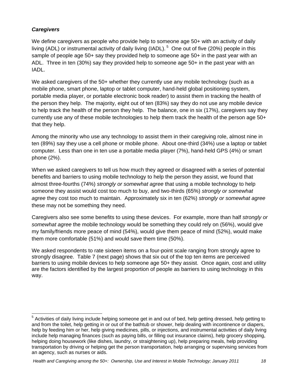# *Caregivers*

We define caregivers as people who provide help to someone age 50+ with an activity of daily living (ADL) or instrumental activity of daily living (IADL).<sup>5</sup> One out of five (20%) people in this sample of people age 50+ say they provided help to someone age 50+ in the past year with an ADL. Three in ten (30%) say they provided help to someone age 50+ in the past year with an IADL.

We asked caregivers of the 50+ whether they currently use any mobile technology (such as a mobile phone, smart phone, laptop or tablet computer, hand-held global positioning system, portable media player, or portable electronic book reader) to assist them in tracking the health of the person they help. The majority, eight out of ten (83%) say they do not use any mobile device to help track the health of the person they help. The balance, one in six (17%), caregivers say they currently use any of these mobile technologies to help them track the health of the person age 50+ that they help.

Among the minority who use any technology to assist them in their caregiving role, almost nine in ten (89%) say they use a cell phone or mobile phone. About one-third (34%) use a laptop or tablet computer. Less than one in ten use a portable media player (7%), hand-held GPS (4%) or smart phone (2%).

When we asked caregivers to tell us how much they agreed or disagreed with a series of potential benefits and barriers to using mobile technology to help the person they assist, we found that almost three-fourths (74%) *strongly or somewhat agree* that using a mobile technology to help someone they assist would cost too much to buy, and two-thirds (65%) *strongly or somewhat agree* they cost too much to maintain. Approximately six in ten (62%) *strongly or somewhat agree* these may not be something they need.

Caregivers also see some benefits to using these devices. For example, more than half *strongly or somewhat agree* the mobile technology would be something they could rely on (56%), would give my family/friends more peace of mind (54%), would give them peace of mind (52%), would make them more comfortable (51%) and would save them time (50%).

We asked respondents to rate sixteen items on a four-point scale ranging from strongly agree to strongly disagree. Table 7 (next page) shows that six out of the top ten items are perceived barriers to using mobile devices to help someone age 50+ they assist. Once again, cost and utility are the factors identified by the largest proportion of people as barriers to using technology in this way.

 <sup>5</sup> Activities of daily living include helping someone get in and out of bed, help getting dressed, help getting to and from the toilet, help getting in or out of the bathtub or shower, help dealing with incontinence or diapers, help by feeding him or her, help giving medicines, pills, or injections, and instrumental activities of daily living include help managing finances (such as paying bills, or filling out insurance claims), help grocery shopping, helping doing housework (like dishes, laundry, or straightening up), help preparing meals, help providing transportation by driving or helping get the person transportation, help arranging or supervising services from an agency, such as nurses or aids.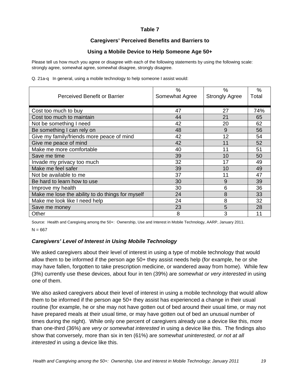# **Table 7**

# **Caregivers' Perceived Benefits and Barriers to**

# **Using a Mobile Device to Help Someone Age 50+**

Please tell us how much you agree or disagree with each of the following statements by using the following scale: strongly agree, somewhat agree, somewhat disagree, strongly disagree.

Q. 21a-q In general, using a mobile technology to help someone I assist would:

| Perceived Benefit or Barrier                     | ℅<br>Somewhat Agree | %<br><b>Strongly Agree</b> | $\%$<br>Total |
|--------------------------------------------------|---------------------|----------------------------|---------------|
| Cost too much to buy                             | 47                  | 27                         | 74%           |
| Cost too much to maintain                        | 44                  | 21                         | 65            |
| Not be something I need                          | 42                  | 20                         | 62            |
| Be something I can rely on                       | 48                  | 9                          | 56            |
| Give my family/friends more peace of mind        | 42                  | 12                         | 54            |
| Give me peace of mind                            | 42                  | 11                         | 52            |
| Make me more comfortable                         | 40                  | 11                         | 51            |
| Save me time                                     | 39                  | 10                         | 50            |
| Invade my privacy too much                       | 32                  | 17                         | 49            |
| Make me feel safer                               | 39                  | 10                         | 49            |
| Not be available to me                           | 37                  | 11                         | 47            |
| Be hard to learn how to use                      | 30                  | 9                          | 39            |
| Improve my health                                | 30                  | 6                          | 36            |
| Make me lose the ability to do things for myself | 24                  | 8                          | 33            |
| Make me look like I need help                    | 24                  | 8                          | 32            |
| Save me money                                    | 23                  | 5                          | 28            |
| Other                                            | 8                   | 3                          | 11            |

Source: Health and Caregiving among the 50+: Ownership, Use and Interest in Mobile Technology, AARP, January 2011.

 $N = 667$ 

#### *Caregivers' Level of Interest in Using Mobile Technology*

We asked caregivers about their level of interest in using a type of mobile technology that would allow them to be informed if the person age 50+ they assist needs help (for example, he or she may have fallen, forgotten to take prescription medicine, or wandered away from home). While few (3%) currently use these devices, about four in ten (39%) are *somewhat or very interested* in using one of them.

We also asked caregivers about their level of interest in using a mobile technology that would allow them to be informed if the person age 50+ they assist has experienced a change in their usual routine (for example, he or she may not have gotten out of bed around their usual time, or may not have prepared meals at their usual time, or may have gotten out of bed an unusual number of times during the night). While only one percent of caregivers already use a device like this, more than one-third (36%) are *very or somewhat interested* in using a device like this. The findings also show that conversely, more than six in ten (61%) are *somewhat uninterested, or not at all interested* in using a device like this.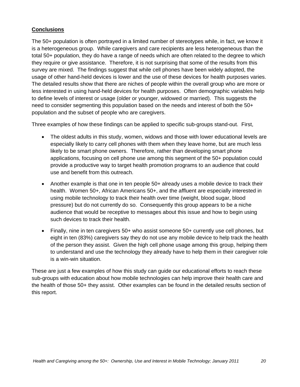# **Conclusions**

The 50+ population is often portrayed in a limited number of stereotypes while, in fact, we know it is a heterogeneous group. While caregivers and care recipients are less heterogeneous than the total 50+ population, they do have a range of needs which are often related to the degree to which they require or give assistance. Therefore, it is not surprising that some of the results from this survey are mixed. The findings suggest that while cell phones have been widely adopted, the usage of other hand-held devices is lower and the use of these devices for health purposes varies. The detailed results show that there are niches of people within the overall group who are more or less interested in using hand-held devices for health purposes. Often demographic variables help to define levels of interest or usage (older or younger, widowed or married). This suggests the need to consider segmenting this population based on the needs and interest of both the 50+ population and the subset of people who are caregivers.

Three examples of how these findings can be applied to specific sub-groups stand-out. First,

- The oldest adults in this study, women, widows and those with lower educational levels are especially likely to carry cell phones with them when they leave home, but are much less likely to be smart phone owners. Therefore, rather than developing smart phone applications, focusing on cell phone use among this segment of the 50+ population could provide a productive way to target health promotion programs to an audience that could use and benefit from this outreach.
- Another example is that one in ten people 50+ already uses a mobile device to track their health. Women 50+, African Americans 50+, and the affluent are especially interested in using mobile technology to track their health over time (weight, blood sugar, blood pressure) but do not currently do so. Consequently this group appears to be a niche audience that would be receptive to messages about this issue and how to begin using such devices to track their health.
- Finally, nine in ten caregivers 50+ who assist someone 50+ currently use cell phones, but eight in ten (83%) caregivers say they do not use any mobile device to help track the health of the person they assist. Given the high cell phone usage among this group, helping them to understand and use the technology they already have to help them in their caregiver role is a win-win situation.

These are just a few examples of how this study can guide our educational efforts to reach these sub-groups with education about how mobile technologies can help improve their health care and the health of those 50+ they assist. Other examples can be found in the detailed results section of this report.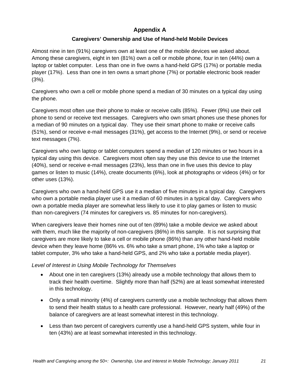# **Appendix A**

# **Caregivers' Ownership and Use of Hand-held Mobile Devices**

Almost nine in ten (91%) caregivers own at least one of the mobile devices we asked about. Among these caregivers, eight in ten (81%) own a cell or mobile phone, four in ten (44%) own a laptop or tablet computer. Less than one in five owns a hand-held GPS (17%) or portable media player (17%). Less than one in ten owns a smart phone (7%) or portable electronic book reader (3%).

Caregivers who own a cell or mobile phone spend a median of 30 minutes on a typical day using the phone.

Caregivers most often use their phone to make or receive calls (85%). Fewer (9%) use their cell phone to send or receive text messages. Caregivers who own smart phones use these phones for a median of 90 minutes on a typical day. They use their smart phone to make or receive calls (51%), send or receive e-mail messages (31%), get access to the Internet (9%), or send or receive text messages (7%).

Caregivers who own laptop or tablet computers spend a median of 120 minutes or two hours in a typical day using this device. Caregivers most often say they use this device to use the Internet (40%), send or receive e-mail messages (23%), less than one in five uses this device to play games or listen to music (14%), create documents (6%), look at photographs or videos (4%) or for other uses (13%).

Caregivers who own a hand-held GPS use it a median of five minutes in a typical day. Caregivers who own a portable media player use it a median of 60 minutes in a typical day. Caregivers who own a portable media player are somewhat less likely to use it to play games or listen to music than non-caregivers (74 minutes for caregivers vs. 85 minutes for non-caregivers).

When caregivers leave their homes nine out of ten (89%) take a mobile device we asked about with them, much like the majority of non-caregivers (86%) in this sample. It is not surprising that caregivers are more likely to take a cell or mobile phone (86%) than any other hand-held mobile device when they leave home (86% vs. 6% who take a smart phone, 1% who take a laptop or tablet computer, 3% who take a hand-held GPS, and 2% who take a portable media player).

# *Level of Interest in Using Mobile Technology for Themselves*

- About one in ten caregivers (13%) already use a mobile technology that allows them to track their health overtime. Slightly more than half (52%) are at least somewhat interested in this technology.
- Only a small minority (4%) of caregivers currently use a mobile technology that allows them to send their health status to a health care professional. However, nearly half (49%) of the balance of caregivers are at least somewhat interest in this technology.
- Less than two percent of caregivers currently use a hand-held GPS system, while four in ten (43%) are at least somewhat interested in this technology.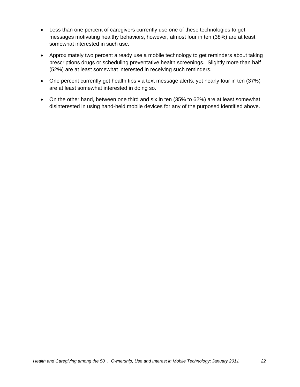- Less than one percent of caregivers currently use one of these technologies to get messages motivating healthy behaviors, however, almost four in ten (38%) are at least somewhat interested in such use.
- Approximately two percent already use a mobile technology to get reminders about taking prescriptions drugs or scheduling preventative health screenings. Slightly more than half (52%) are at least somewhat interested in receiving such reminders.
- One percent currently get health tips via text message alerts, yet nearly four in ten (37%) are at least somewhat interested in doing so.
- On the other hand, between one third and six in ten (35% to 62%) are at least somewhat disinterested in using hand-held mobile devices for any of the purposed identified above.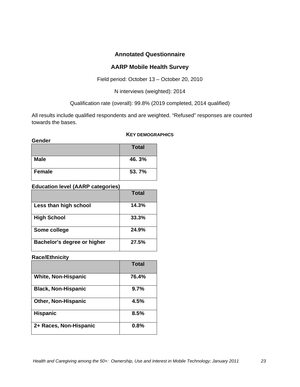# **Annotated Questionnaire**

# **AARP Mobile Health Survey**

Field period: October 13 – October 20, 2010

N interviews (weighted): 2014

Qualification rate (overall): 99.8% (2019 completed, 2014 qualified)

All results include qualified respondents and are weighted. "Refused" responses are counted towards the bases.

#### **Gender**

|               | <b>Total</b> |
|---------------|--------------|
| <b>Male</b>   | 46.3%        |
| <b>Female</b> | 53.7%        |

### **Education level (AARP categories)**

|                             | Total |
|-----------------------------|-------|
| Less than high school       | 14.3% |
| <b>High School</b>          | 33.3% |
| Some college                | 24.9% |
| Bachelor's degree or higher | 27.5% |

#### **Race/Ethnicity**

|                            | Total |
|----------------------------|-------|
| <b>White, Non-Hispanic</b> | 76.4% |
| <b>Black, Non-Hispanic</b> | 9.7%  |
| <b>Other, Non-Hispanic</b> | 4.5%  |
| <b>Hispanic</b>            | 8.5%  |
| 2+ Races, Non-Hispanic     | 0.8%  |

# **KEY DEMOGRAPHICS**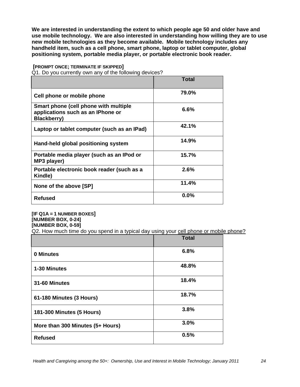**We are interested in understanding the extent to which people age 50 and older have and use mobile technology. We are also interested in understanding how willing they are to use new mobile technologies as they become available. Mobile technology includes any handheld item, such as a cell phone, smart phone, laptop or tablet computer, global positioning system, portable media player, or portable electronic book reader.** 

|                                                                                                   | Total   |
|---------------------------------------------------------------------------------------------------|---------|
| Cell phone or mobile phone                                                                        | 79.0%   |
| Smart phone (cell phone with multiple<br>applications such as an IPhone or<br><b>Blackberry</b> ) | 6.6%    |
| Laptop or tablet computer (such as an IPad)                                                       | 42.1%   |
| Hand-held global positioning system                                                               | 14.9%   |
| Portable media player (such as an IPod or<br>MP3 player)                                          | 15.7%   |
| Portable electronic book reader (such as a<br>Kindle)                                             | 2.6%    |
| None of the above [SP]                                                                            | 11.4%   |
| <b>Refused</b>                                                                                    | $0.0\%$ |

#### **[PROMPT ONCE; TERMINATE IF SKIPPED]**

Q1. Do you currently own any of the following devices?

#### **[IF Q1A = 1 NUMBER BOXES] [NUMBER BOX, 0-24] [NUMBER BOX, 0-59]**

Q2. How much time do you spend in a typical day using your cell phone or mobile phone?

|                                  | <b>Total</b> |
|----------------------------------|--------------|
| 0 Minutes                        | 6.8%         |
| 1-30 Minutes                     | 48.8%        |
| 31-60 Minutes                    | 18.4%        |
| 61-180 Minutes (3 Hours)         | 18.7%        |
| 181-300 Minutes (5 Hours)        | 3.8%         |
| More than 300 Minutes (5+ Hours) | 3.0%         |
| <b>Refused</b>                   | 0.5%         |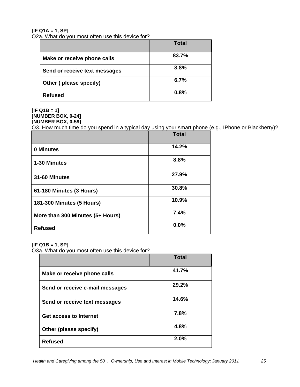# **[IF Q1A = 1, SP]**

Q2a. What do you most often use this device for?

|                               | Total |
|-------------------------------|-------|
| Make or receive phone calls   | 83.7% |
| Send or receive text messages | 8.8%  |
| Other (please specify)        | 6.7%  |
| <b>Refused</b>                | 0.8%  |

#### **[IF Q1B = 1] [NUMBER BOX, 0-24] [NUMBER BOX, 0-59]**

Q3. How much time do you spend in a typical day using your smart phone (e.g., IPhone or Blackberry)?

|                                  | <b>Total</b> |
|----------------------------------|--------------|
| 0 Minutes                        | 14.2%        |
| 1-30 Minutes                     | 8.8%         |
| 31-60 Minutes                    | 27.9%        |
| 61-180 Minutes (3 Hours)         | 30.8%        |
| 181-300 Minutes (5 Hours)        | 10.9%        |
| More than 300 Minutes (5+ Hours) | 7.4%         |
| <b>Refused</b>                   | 0.0%         |

#### **[IF Q1B = 1, SP]**

Q3a. What do you most often use this device for?

|                                 | <b>Total</b> |
|---------------------------------|--------------|
| Make or receive phone calls     | 41.7%        |
| Send or receive e-mail messages | 29.2%        |
| Send or receive text messages   | 14.6%        |
| <b>Get access to Internet</b>   | 7.8%         |
| Other (please specify)          | 4.8%         |
| <b>Refused</b>                  | 2.0%         |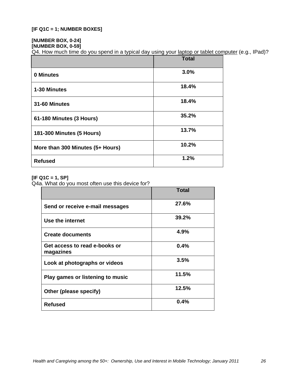# **[NUMBER BOX, 0-24]**

# **[NUMBER BOX, 0-59]**

Q4. How much time do you spend in a typical day using your laptop or tablet computer (e.g., IPad)?

|                                  | <b>Total</b> |
|----------------------------------|--------------|
| 0 Minutes                        | 3.0%         |
| 1-30 Minutes                     | 18.4%        |
| 31-60 Minutes                    | 18.4%        |
| 61-180 Minutes (3 Hours)         | 35.2%        |
| <b>181-300 Minutes (5 Hours)</b> | 13.7%        |
| More than 300 Minutes (5+ Hours) | 10.2%        |
| <b>Refused</b>                   | 1.2%         |

# **[IF Q1C = 1, SP]**

Q4a. What do you most often use this device for?

|                                            | <b>Total</b> |
|--------------------------------------------|--------------|
| Send or receive e-mail messages            | 27.6%        |
| Use the internet                           | 39.2%        |
| <b>Create documents</b>                    | 4.9%         |
| Get access to read e-books or<br>magazines | 0.4%         |
| Look at photographs or videos              | 3.5%         |
| Play games or listening to music           | 11.5%        |
| Other (please specify)                     | 12.5%        |
| <b>Refused</b>                             | 0.4%         |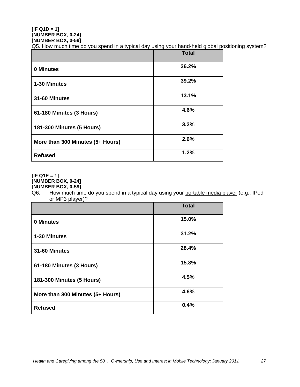#### **[IF Q1D = 1] [NUMBER BOX, 0-24] [NUMBER BOX, 0-59]**

Q5. How much time do you spend in a typical day using your hand-held global positioning system?

|                                  | <b>Total</b> |
|----------------------------------|--------------|
| 0 Minutes                        | 36.2%        |
| 1-30 Minutes                     | 39.2%        |
| 31-60 Minutes                    | 13.1%        |
| 61-180 Minutes (3 Hours)         | 4.6%         |
| 181-300 Minutes (5 Hours)        | 3.2%         |
| More than 300 Minutes (5+ Hours) | 2.6%         |
| <b>Refused</b>                   | 1.2%         |

#### **[IF Q1E = 1] [NUMBER BOX, 0-24] [NUMBER BOX, 0-59]**

Q6. How much time do you spend in a typical day using your portable media player (e.g., IPod or MP3 player)?

|                                  | <b>Total</b> |
|----------------------------------|--------------|
| 0 Minutes                        | 15.0%        |
| 1-30 Minutes                     | 31.2%        |
| 31-60 Minutes                    | 28.4%        |
| 61-180 Minutes (3 Hours)         | 15.8%        |
| <b>181-300 Minutes (5 Hours)</b> | 4.5%         |
| More than 300 Minutes (5+ Hours) | 4.6%         |
| <b>Refused</b>                   | 0.4%         |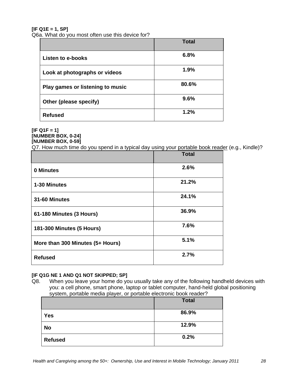#### **[IF Q1E = 1, SP]**

Q6a. What do you most often use this device for?

|                                  | <b>Total</b> |
|----------------------------------|--------------|
| Listen to e-books                | 6.8%         |
| Look at photographs or videos    | 1.9%         |
| Play games or listening to music | 80.6%        |
| Other (please specify)           | 9.6%         |
| <b>Refused</b>                   | 1.2%         |

#### **[IF Q1F = 1] [NUMBER BOX, 0-24] [NUMBER BOX, 0-59]**

Q7. How much time do you spend in a typical day using your portable book reader (e.g., Kindle)?

|                                  | <b>Total</b> |
|----------------------------------|--------------|
| 0 Minutes                        | 2.6%         |
| 1-30 Minutes                     | 21.2%        |
| 31-60 Minutes                    | 24.1%        |
| 61-180 Minutes (3 Hours)         | 36.9%        |
| <b>181-300 Minutes (5 Hours)</b> | 7.6%         |
| More than 300 Minutes (5+ Hours) | 5.1%         |
| <b>Refused</b>                   | 2.7%         |

#### **[IF Q1G NE 1 AND Q1 NOT SKIPPED; SP]**

Q8. When you leave your home do you usually take any of the following handheld devices with you: a cell phone, smart phone, laptop or tablet computer, hand-held global positioning system, portable media player, or portable electronic book reader?

|                | <b>Total</b> |
|----------------|--------------|
| <b>Yes</b>     | 86.9%        |
| <b>No</b>      | 12.9%        |
| <b>Refused</b> | 0.2%         |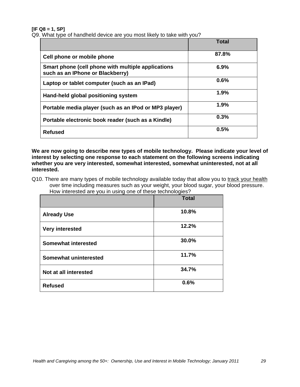#### **[IF Q8 = 1, SP]**

Q9. What type of handheld device are you most likely to take with you?

|                                                                                        | <b>Total</b> |
|----------------------------------------------------------------------------------------|--------------|
| Cell phone or mobile phone                                                             | 87.8%        |
| Smart phone (cell phone with multiple applications<br>such as an IPhone or Blackberry) | 6.9%         |
| Laptop or tablet computer (such as an IPad)                                            | 0.6%         |
| Hand-held global positioning system                                                    | 1.9%         |
| Portable media player (such as an IPod or MP3 player)                                  | 1.9%         |
| Portable electronic book reader (such as a Kindle)                                     | 0.3%         |
| <b>Refused</b>                                                                         | 0.5%         |

**We are now going to describe new types of mobile technology. Please indicate your level of interest by selecting one response to each statement on the following screens indicating whether you are very interested, somewhat interested, somewhat uninterested, not at all interested.** 

Q10. There are many types of mobile technology available today that allow you to track your health over time including measures such as your weight, your blood sugar, your blood pressure. How interested are you in using one of these technologies?

|                              | <b>Total</b> |
|------------------------------|--------------|
| <b>Already Use</b>           | 10.8%        |
| Very interested              | 12.2%        |
| <b>Somewhat interested</b>   | 30.0%        |
| <b>Somewhat uninterested</b> | 11.7%        |
| Not at all interested        | 34.7%        |
| <b>Refused</b>               | 0.6%         |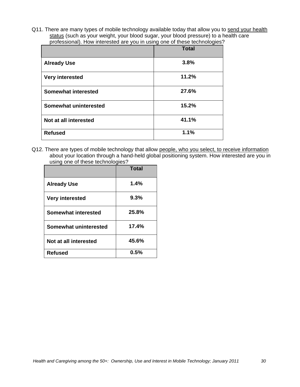Q11. There are many types of mobile technology available today that allow you to send your health status (such as your weight, your blood sugar, your blood pressure) to a health care professional). How interested are you in using one of these technologies?

|                              | <b>Total</b> |
|------------------------------|--------------|
| <b>Already Use</b>           | 3.8%         |
| <b>Very interested</b>       | 11.2%        |
| <b>Somewhat interested</b>   | 27.6%        |
| <b>Somewhat uninterested</b> | 15.2%        |
| Not at all interested        | 41.1%        |
| <b>Refused</b>               | 1.1%         |

Q12. There are types of mobile technology that allow people, who you select, to receive information about your location through a hand-held global positioning system. How interested are you in using one of these technologies?

|                        | <b>Total</b> |
|------------------------|--------------|
| <b>Already Use</b>     | 1.4%         |
| <b>Very interested</b> | 9.3%         |
| Somewhat interested    | 25.8%        |
| Somewhat uninterested  | 17.4%        |
| Not at all interested  | 45.6%        |
| <b>Refused</b>         | 0.5%         |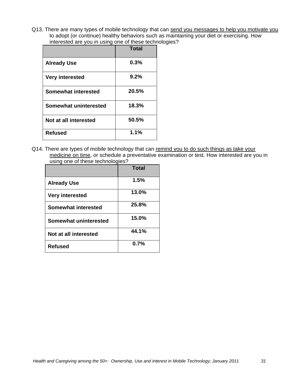Q13. There are many types of mobile technology that can send you messages to help you motivate you to adopt (or continue) healthy behaviors such as maintaining your diet or exercising. How interested are you in using one of these technologies?

|                            | <b>Total</b> |
|----------------------------|--------------|
| <b>Already Use</b>         | 0.3%         |
| <b>Very interested</b>     | $9.2\%$      |
| <b>Somewhat interested</b> | 20.5%        |
| Somewhat uninterested      | 18.3%        |
| Not at all interested      | 50.5%        |
| <b>Refused</b>             | 1.1%         |

Q14. There are types of mobile technology that can remind you to do such things as take your medicine on time, or schedule a preventative examination or test. How interested are you in using one of these technologies?

|                        | <b>Total</b> |
|------------------------|--------------|
| <b>Already Use</b>     | 1.5%         |
| <b>Very interested</b> | 13.0%        |
| Somewhat interested    | 25.8%        |
| Somewhat uninterested  | 15.0%        |
| Not at all interested  | 44.1%        |
| <b>Refused</b>         | 0.7%         |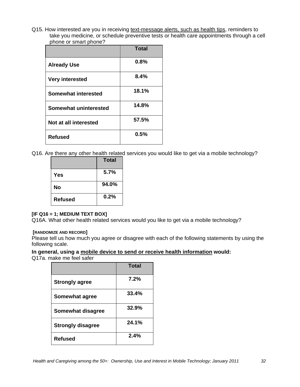Q15. How interested are you in receiving text-message alerts, such as health tips, reminders to take you medicine, or schedule preventive tests or health care appointments through a cell phone or smart phone?

|                        | <b>Total</b> |
|------------------------|--------------|
| <b>Already Use</b>     | 0.8%         |
| <b>Very interested</b> | 8.4%         |
| Somewhat interested    | 18.1%        |
| Somewhat uninterested  | 14.8%        |
| Not at all interested  | 57.5%        |
| <b>Refused</b>         | 0.5%         |

Q16. Are there any other health related services you would like to get via a mobile technology?

|                | Total |
|----------------|-------|
| <b>Yes</b>     | 5.7%  |
| No             | 94.0% |
| <b>Refused</b> | 0.2%  |

#### **[IF Q16 = 1; MEDIUM TEXT BOX]**

Q16A. What other health related services would you like to get via a mobile technology?

#### **[RANDOMIZE AND RECORD]**

Please tell us how much you agree or disagree with each of the following statements by using the following scale.

#### **In general, using a mobile device to send or receive health information would:**

Q17a. make me feel safer

|                          | Total |
|--------------------------|-------|
| <b>Strongly agree</b>    | 7.2%  |
| Somewhat agree           | 33.4% |
| Somewhat disagree        | 32.9% |
| <b>Strongly disagree</b> | 24.1% |
| <b>Refused</b>           | 2.4%  |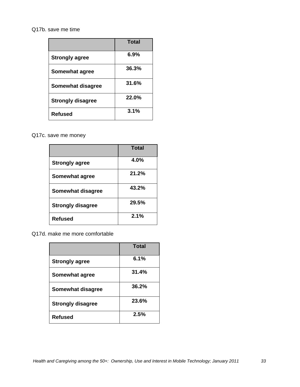#### Q17b. save me time

|                          | <b>Total</b> |
|--------------------------|--------------|
| <b>Strongly agree</b>    | 6.9%         |
| Somewhat agree           | 36.3%        |
| Somewhat disagree        | 31.6%        |
| <b>Strongly disagree</b> | 22.0%        |
| <b>Refused</b>           | 3.1%         |

Q17c. save me money

|                          | <b>Total</b> |
|--------------------------|--------------|
| <b>Strongly agree</b>    | 4.0%         |
| Somewhat agree           | 21.2%        |
| Somewhat disagree        | 43.2%        |
| <b>Strongly disagree</b> | 29.5%        |
| <b>Refused</b>           | 2.1%         |

Q17d. make me more comfortable

|                          | <b>Total</b> |
|--------------------------|--------------|
| <b>Strongly agree</b>    | 6.1%         |
| Somewhat agree           | 31.4%        |
| <b>Somewhat disagree</b> | 36.2%        |
| <b>Strongly disagree</b> | 23.6%        |
| <b>Refused</b>           | 2.5%         |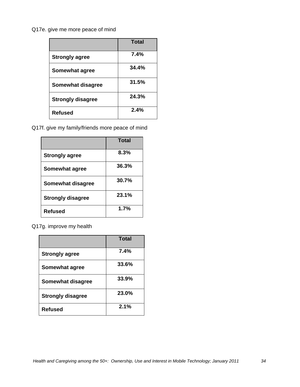# Q17e. give me more peace of mind

|                          | Total   |
|--------------------------|---------|
| <b>Strongly agree</b>    | $7.4\%$ |
| Somewhat agree           | 34.4%   |
| Somewhat disagree        | 31.5%   |
| <b>Strongly disagree</b> | 24.3%   |
| <b>Refused</b>           | 2.4%    |

Q17f. give my family/friends more peace of mind

|                          | <b>Total</b> |
|--------------------------|--------------|
| <b>Strongly agree</b>    | 8.3%         |
| Somewhat agree           | 36.3%        |
| Somewhat disagree        | 30.7%        |
| <b>Strongly disagree</b> | 23.1%        |
| <b>Refused</b>           | 1.7%         |

Q17g. improve my health

|                          | Total |
|--------------------------|-------|
| <b>Strongly agree</b>    | 7.4%  |
| Somewhat agree           | 33.6% |
| Somewhat disagree        | 33.9% |
| <b>Strongly disagree</b> | 23.0% |
| <b>Refused</b>           | 2.1%  |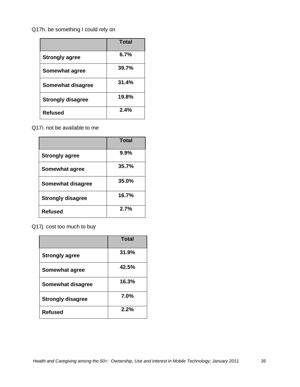# Q17h. be something I could rely on

|                          | <b>Total</b> |
|--------------------------|--------------|
| <b>Strongly agree</b>    | 6.7%         |
| Somewhat agree           | 39.7%        |
| Somewhat disagree        | 31.4%        |
| <b>Strongly disagree</b> | 19.8%        |
| <b>Refused</b>           | 2.4%         |

Q17i. not be available to me

|                          | <b>Total</b> |
|--------------------------|--------------|
| <b>Strongly agree</b>    | $9.9\%$      |
| Somewhat agree           | 35.7%        |
| Somewhat disagree        | 35.0%        |
| <b>Strongly disagree</b> | 16.7%        |
| <b>Refused</b>           | 2.7%         |

Q17j. cost too much to buy

|                          | <b>Total</b> |
|--------------------------|--------------|
| <b>Strongly agree</b>    | 31.9%        |
| <b>Somewhat agree</b>    | 42.5%        |
| <b>Somewhat disagree</b> | 16.3%        |
| <b>Strongly disagree</b> | $7.0\%$      |
| <b>Refused</b>           | 2.2%         |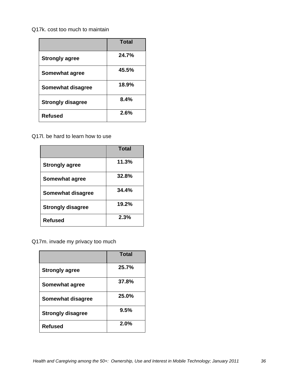#### Q17k. cost too much to maintain

|                          | <b>Total</b> |
|--------------------------|--------------|
| <b>Strongly agree</b>    | 24.7%        |
| Somewhat agree           | 45.5%        |
| Somewhat disagree        | 18.9%        |
| <b>Strongly disagree</b> | 8.4%         |
| <b>Refused</b>           | 2.6%         |

Q17l. be hard to learn how to use

|                          | <b>Total</b> |
|--------------------------|--------------|
| <b>Strongly agree</b>    | 11.3%        |
| Somewhat agree           | 32.8%        |
| <b>Somewhat disagree</b> | 34.4%        |
| <b>Strongly disagree</b> | 19.2%        |
| <b>Refused</b>           | 2.3%         |

Q17m. invade my privacy too much

|                          | <b>Total</b> |
|--------------------------|--------------|
| <b>Strongly agree</b>    | 25.7%        |
| Somewhat agree           | 37.8%        |
| Somewhat disagree        | 25.0%        |
| <b>Strongly disagree</b> | 9.5%         |
| <b>Refused</b>           | 2.0%         |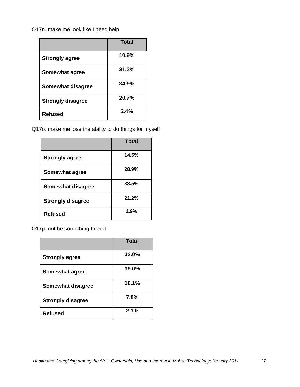# Q17n. make me look like I need help

|                          | <b>Total</b> |
|--------------------------|--------------|
| <b>Strongly agree</b>    | 10.9%        |
| Somewhat agree           | 31.2%        |
| <b>Somewhat disagree</b> | 34.9%        |
| <b>Strongly disagree</b> | 20.7%        |
| <b>Refused</b>           | 2.4%         |

Q17o. make me lose the ability to do things for myself

|                          | <b>Total</b> |
|--------------------------|--------------|
| <b>Strongly agree</b>    | 14.5%        |
| Somewhat agree           | 28.9%        |
| <b>Somewhat disagree</b> | 33.5%        |
| <b>Strongly disagree</b> | 21.2%        |
| <b>Refused</b>           | 1.9%         |

Q17p. not be something I need

|                          | <b>Total</b> |
|--------------------------|--------------|
| <b>Strongly agree</b>    | 33.0%        |
| Somewhat agree           | 39.0%        |
| <b>Somewhat disagree</b> | 18.1%        |
| <b>Strongly disagree</b> | 7.8%         |
| <b>Refused</b>           | 2.1%         |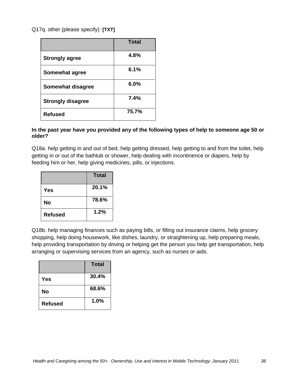# Q17q. other (please specify): **[TXT]**

|                          | Total   |
|--------------------------|---------|
| <b>Strongly agree</b>    | 4.8%    |
| Somewhat agree           | 6.1%    |
| Somewhat disagree        | $6.0\%$ |
| <b>Strongly disagree</b> | 7.4%    |
| <b>Refused</b>           | 75.7%   |

## **In the past year have you provided any of the following types of help to someone age 50 or older?**

Q18a. help getting in and out of bed, help getting dressed, help getting to and from the toilet, help getting in or out of the bathtub or shower, help dealing with incontinence or diapers, help by feeding him or her, help giving medicines, pills, or injections.

|                | <b>Total</b> |
|----------------|--------------|
| <b>Yes</b>     | 20.1%        |
| No             | 78.6%        |
| <b>Refused</b> | 1.2%         |

Q18b. help managing finances such as paying bills, or filling out insurance claims, help grocery shopping, help doing housework, like dishes, laundry, or straightening up, help preparing meals, help providing transportation by driving or helping get the person you help get transportation, help arranging or supervising services from an agency, such as nurses or aids.

|                | <b>Total</b> |
|----------------|--------------|
| <b>Yes</b>     | 30.4%        |
| Nο             | 68.6%        |
| <b>Refused</b> | 1.0%         |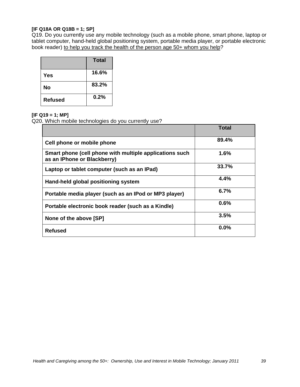#### **[IF Q18A OR Q18B = 1; SP]**

Q19. Do you currently use any mobile technology (such as a mobile phone, smart phone, laptop or tablet computer, hand-held global positioning system, portable media player, or portable electronic book reader) to help you track the health of the person age 50+ whom you help?

|                | <b>Total</b> |
|----------------|--------------|
| <b>Yes</b>     | 16.6%        |
| No             | 83.2%        |
| <b>Refused</b> | 0.2%         |

#### **[IF Q19 = 1; MP]**

Q20. Which mobile technologies do you currently use?

|                                                                                        | Total |
|----------------------------------------------------------------------------------------|-------|
| Cell phone or mobile phone                                                             | 89.4% |
| Smart phone (cell phone with multiple applications such<br>as an IPhone or Blackberry) | 1.6%  |
| Laptop or tablet computer (such as an IPad)                                            | 33.7% |
| Hand-held global positioning system                                                    | 4.4%  |
| Portable media player (such as an IPod or MP3 player)                                  | 6.7%  |
| Portable electronic book reader (such as a Kindle)                                     | 0.6%  |
| None of the above [SP]                                                                 | 3.5%  |
| <b>Refused</b>                                                                         | 0.0%  |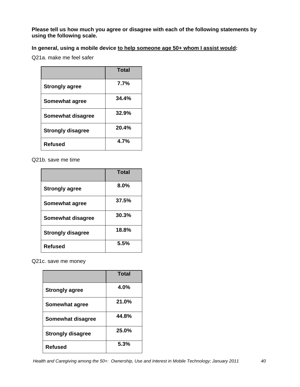**Please tell us how much you agree or disagree with each of the following statements by using the following scale.** 

# **In general, using a mobile device to help someone age 50+ whom I assist would:**

Q21a. make me feel safer

|                          | <b>Total</b> |
|--------------------------|--------------|
| <b>Strongly agree</b>    | 7.7%         |
| Somewhat agree           | 34.4%        |
| Somewhat disagree        | 32.9%        |
| <b>Strongly disagree</b> | 20.4%        |
| <b>Refused</b>           | 4.7%         |

Q21b. save me time

|                          | Total   |
|--------------------------|---------|
| <b>Strongly agree</b>    | $8.0\%$ |
| Somewhat agree           | 37.5%   |
| Somewhat disagree        | 30.3%   |
| <b>Strongly disagree</b> | 18.8%   |
| <b>Refused</b>           | 5.5%    |

Q21c. save me money

|                          | <b>Total</b> |
|--------------------------|--------------|
| <b>Strongly agree</b>    | 4.0%         |
| Somewhat agree           | 21.0%        |
| Somewhat disagree        | 44.8%        |
| <b>Strongly disagree</b> | 25.0%        |
| <b>Refused</b>           | 5.3%         |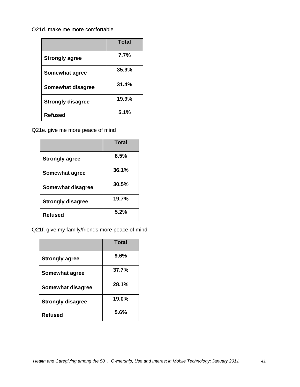#### Q21d. make me more comfortable

|                          | <b>Total</b> |
|--------------------------|--------------|
| <b>Strongly agree</b>    | 7.7%         |
| Somewhat agree           | 35.9%        |
| Somewhat disagree        | 31.4%        |
| <b>Strongly disagree</b> | 19.9%        |
| <b>Refused</b>           | 5.1%         |

Q21e. give me more peace of mind

|                          | <b>Total</b> |
|--------------------------|--------------|
| <b>Strongly agree</b>    | 8.5%         |
| Somewhat agree           | 36.1%        |
| Somewhat disagree        | 30.5%        |
| <b>Strongly disagree</b> | 19.7%        |
| <b>Refused</b>           | 5.2%         |

Q21f. give my family/friends more peace of mind

|                          | <b>Total</b> |
|--------------------------|--------------|
| <b>Strongly agree</b>    | 9.6%         |
| Somewhat agree           | 37.7%        |
| Somewhat disagree        | 28.1%        |
| <b>Strongly disagree</b> | 19.0%        |
| <b>Refused</b>           | 5.6%         |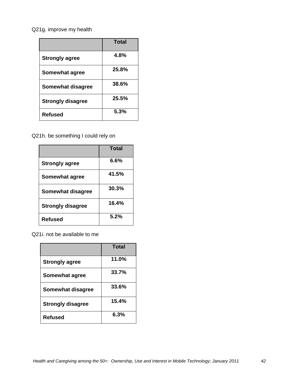# Q21g. improve my health

|                          | <b>Total</b> |
|--------------------------|--------------|
| <b>Strongly agree</b>    | 4.8%         |
| Somewhat agree           | 25.8%        |
| <b>Somewhat disagree</b> | 38.6%        |
| <b>Strongly disagree</b> | 25.5%        |
| <b>Refused</b>           | 5.3%         |

Q21h. be something I could rely on

|                          | <b>Total</b> |
|--------------------------|--------------|
| <b>Strongly agree</b>    | 6.6%         |
| Somewhat agree           | 41.5%        |
| Somewhat disagree        | 30.3%        |
| <b>Strongly disagree</b> | 16.4%        |
| Refused                  | 5.2%         |

Q21i. not be available to me

|                          | Total |
|--------------------------|-------|
| <b>Strongly agree</b>    | 11.0% |
| Somewhat agree           | 33.7% |
| Somewhat disagree        | 33.6% |
| <b>Strongly disagree</b> | 15.4% |
| <b>Refused</b>           | 6.3%  |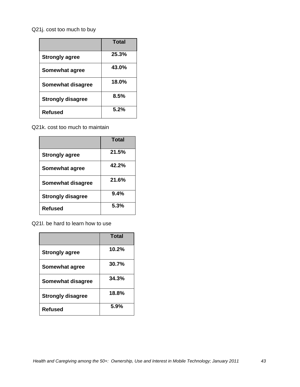Q21j. cost too much to buy

|                          | <b>Total</b> |
|--------------------------|--------------|
| <b>Strongly agree</b>    | 25.3%        |
| <b>Somewhat agree</b>    | 43.0%        |
| <b>Somewhat disagree</b> | 18.0%        |
| <b>Strongly disagree</b> | 8.5%         |
| <b>Refused</b>           | 5.2%         |

Q21k. cost too much to maintain

|                          | <b>Total</b> |
|--------------------------|--------------|
| <b>Strongly agree</b>    | 21.5%        |
| Somewhat agree           | 42.2%        |
| Somewhat disagree        | 21.6%        |
| <b>Strongly disagree</b> | 9.4%         |
| <b>Refused</b>           | 5.3%         |

Q21l. be hard to learn how to use

|                          | <b>Total</b> |
|--------------------------|--------------|
| <b>Strongly agree</b>    | 10.2%        |
| <b>Somewhat agree</b>    | 30.7%        |
| Somewhat disagree        | 34.3%        |
| <b>Strongly disagree</b> | 18.8%        |
| <b>Refused</b>           | 5.9%         |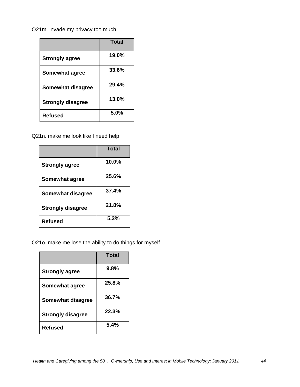Q21m. invade my privacy too much

|                          | <b>Total</b> |
|--------------------------|--------------|
| <b>Strongly agree</b>    | 19.0%        |
| Somewhat agree           | 33.6%        |
| Somewhat disagree        | 29.4%        |
| <b>Strongly disagree</b> | 13.0%        |
| <b>Refused</b>           | 5.0%         |

Q21n. make me look like I need help

|                          | Total |
|--------------------------|-------|
| <b>Strongly agree</b>    | 10.0% |
| Somewhat agree           | 25.6% |
| Somewhat disagree        | 37.4% |
| <b>Strongly disagree</b> | 21.8% |
| Refused                  | 5.2%  |

Q21o. make me lose the ability to do things for myself

|                          | Total |
|--------------------------|-------|
| <b>Strongly agree</b>    | 9.8%  |
| Somewhat agree           | 25.8% |
| Somewhat disagree        | 36.7% |
| <b>Strongly disagree</b> | 22.3% |
| <b>Refused</b>           | 5.4%  |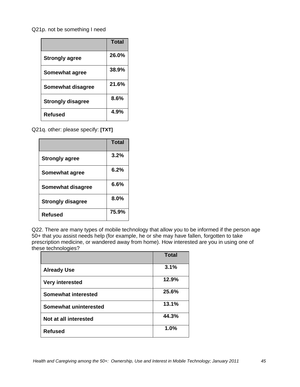# Q21p. not be something I need

|                          | <b>Total</b> |
|--------------------------|--------------|
| <b>Strongly agree</b>    | 26.0%        |
| Somewhat agree           | 38.9%        |
| Somewhat disagree        | 21.6%        |
| <b>Strongly disagree</b> | 8.6%         |
| <b>Refused</b>           | 4.9%         |

Q21q. other: please specify: **[TXT]**

|                          | <b>Total</b> |
|--------------------------|--------------|
| <b>Strongly agree</b>    | 3.2%         |
| Somewhat agree           | 6.2%         |
| Somewhat disagree        | 6.6%         |
| <b>Strongly disagree</b> | 8.0%         |
| Refused                  | 75.9%        |

Q22. There are many types of mobile technology that allow you to be informed if the person age 50+ that you assist needs help (for example, he or she may have fallen, forgotten to take prescription medicine, or wandered away from home). How interested are you in using one of these technologies?

|                            | <b>Total</b> |
|----------------------------|--------------|
| <b>Already Use</b>         | 3.1%         |
| <b>Very interested</b>     | 12.9%        |
| <b>Somewhat interested</b> | 25.6%        |
| Somewhat uninterested      | 13.1%        |
| Not at all interested      | 44.3%        |
| <b>Refused</b>             | 1.0%         |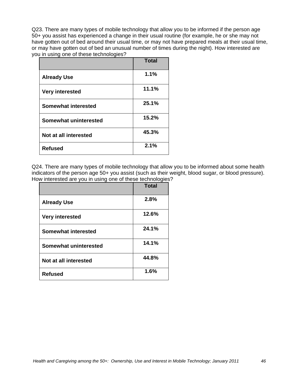Q23. There are many types of mobile technology that allow you to be informed if the person age 50+ you assist has experienced a change in their usual routine (for example, he or she may not have gotten out of bed around their usual time, or may not have prepared meals at their usual time, or may have gotten out of bed an unusual number of times during the night). How interested are you in using one of these technologies?

|                              | <b>Total</b> |
|------------------------------|--------------|
| <b>Already Use</b>           | 1.1%         |
| <b>Very interested</b>       | 11.1%        |
| Somewhat interested          | 25.1%        |
| <b>Somewhat uninterested</b> | 15.2%        |
| Not at all interested        | 45.3%        |
| <b>Refused</b>               | 2.1%         |

Q24. There are many types of mobile technology that allow you to be informed about some health indicators of the person age 50+ you assist (such as their weight, blood sugar, or blood pressure). How interested are you in using one of these technologies?

|                            | <b>Total</b> |
|----------------------------|--------------|
| <b>Already Use</b>         | 2.8%         |
| <b>Very interested</b>     | 12.6%        |
| <b>Somewhat interested</b> | 24.1%        |
| Somewhat uninterested      | 14.1%        |
| Not at all interested      | 44.8%        |
| <b>Refused</b>             | 1.6%         |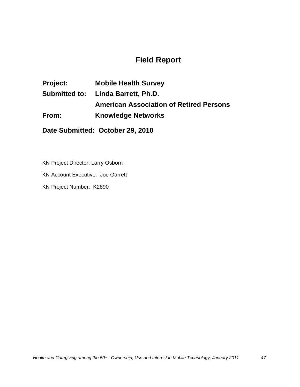# **Field Report**

**Project: Mobile Health Survey Submitted to: Linda Barrett, Ph.D. American Association of Retired Persons From: Knowledge Networks** 

**Date Submitted: October 29, 2010** 

KN Project Director: Larry Osborn

KN Account Executive: Joe Garrett

KN Project Number: K2890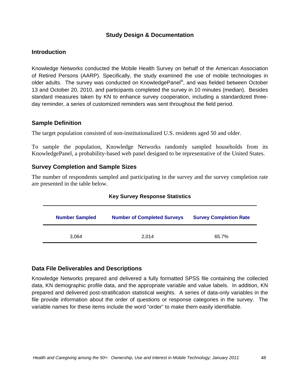# **Study Design & Documentation**

# **Introduction**

Knowledge Networks conducted the Mobile Health Survey on behalf of the American Association of Retired Persons (AARP). Specifically, the study examined the use of mobile technologies in older adults. The survey was conducted on KnowledgePanel®, and was fielded between October 13 and October 20, 2010, and participants completed the survey in 10 minutes (median). Besides standard measures taken by KN to enhance survey cooperation, including a standardized threeday reminder, a series of customized reminders was sent throughout the field period.

# **Sample Definition**

The target population consisted of non-institutionalized U.S. residents aged 50 and older.

To sample the population, Knowledge Networks randomly sampled households from its KnowledgePanel, a probability-based web panel designed to be representative of the United States.

# **Survey Completion and Sample Sizes**

The number of respondents sampled and participating in the survey and the survey completion rate are presented in the table below.

| <b>Number Sampled</b> | <b>Number of Completed Surveys</b> | <b>Survey Completion Rate</b> |
|-----------------------|------------------------------------|-------------------------------|
| 3.064                 | 2.014                              | 65.7%                         |

#### **Key Survey Response Statistics**

#### **Data File Deliverables and Descriptions**

Knowledge Networks prepared and delivered a fully formatted SPSS file containing the collected data, KN demographic profile data, and the appropriate variable and value labels. In addition, KN prepared and delivered post-stratification statistical weights. A series of data-only variables in the file provide information about the order of questions or response categories in the survey. The variable names for these items include the word "order" to make them easily identifiable.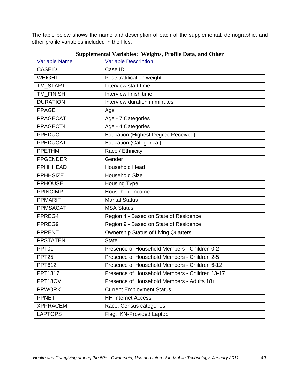The table below shows the name and description of each of the supplemental, demographic, and other profile variables included in the files.

| — г г<br>Variable Name | -- <del>a</del> -----, ----<br><b>Variable Description</b> |
|------------------------|------------------------------------------------------------|
| <b>CASEID</b>          | Case ID                                                    |
| <b>WEIGHT</b>          | Poststratification weight                                  |
| TM_START               | Interview start time                                       |
| TM_FINISH              | Interview finish time                                      |
| <b>DURATION</b>        | Interview duration in minutes                              |
| <b>PPAGE</b>           | Age                                                        |
| <b>PPAGECAT</b>        | Age - 7 Categories                                         |
| PPAGECT4               | Age - 4 Categories                                         |
| <b>PPEDUC</b>          | <b>Education (Highest Degree Received)</b>                 |
| <b>PPEDUCAT</b>        | <b>Education (Categorical)</b>                             |
| <b>PPETHM</b>          | Race / Ethnicity                                           |
| <b>PPGENDER</b>        | Gender                                                     |
| <b>PPHHHEAD</b>        | <b>Household Head</b>                                      |
| <b>PPHHSIZE</b>        | <b>Household Size</b>                                      |
| <b>PPHOUSE</b>         | <b>Housing Type</b>                                        |
| <b>PPINCIMP</b>        | Household Income                                           |
| <b>PPMARIT</b>         | <b>Marital Status</b>                                      |
| <b>PPMSACAT</b>        | <b>MSA Status</b>                                          |
| PPREG4                 | Region 4 - Based on State of Residence                     |
| PPREG9                 | Region 9 - Based on State of Residence                     |
| <b>PPRENT</b>          | <b>Ownership Status of Living Quarters</b>                 |
| <b>PPSTATEN</b>        | <b>State</b>                                               |
| PPT01                  | Presence of Household Members - Children 0-2               |
| PPT <sub>25</sub>      | Presence of Household Members - Children 2-5               |
| <b>PPT612</b>          | Presence of Household Members - Children 6-12              |
| PPT1317                | Presence of Household Members - Children 13-17             |
| PPT18OV                | Presence of Household Members - Adults 18+                 |
| <b>PPWORK</b>          | <b>Current Employment Status</b>                           |
| <b>PPNET</b>           | <b>HH Internet Access</b>                                  |
| <b>XPPRACEM</b>        | Race, Census categories                                    |
| <b>LAPTOPS</b>         | Flag. KN-Provided Laptop                                   |

# **Supplemental Variables: Weights, Profile Data, and Other**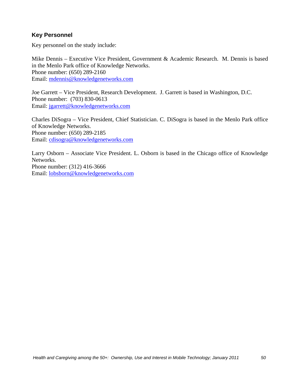# **Key Personnel**

Key personnel on the study include:

Mike Dennis – Executive Vice President, Government & Academic Research. M. Dennis is based in the Menlo Park office of Knowledge Networks. Phone number: (650) 289-2160 Email: mdennis@knowledgenetworks.com

Joe Garrett – Vice President, Research Development. J. Garrett is based in Washington, D.C. Phone number: (703) 830-0613 Email: jgarrett@knowledgenetworks.com

Charles DiSogra – Vice President, Chief Statistician. C. DiSogra is based in the Menlo Park office of Knowledge Networks. Phone number: (650) 289-2185 Email: cdisogra@knowledgenetworks.com

Larry Osborn – Associate Vice President. L. Osborn is based in the Chicago office of Knowledge Networks. Phone number: (312) 416-3666 Email: lobsborn@knowledgenetworks.com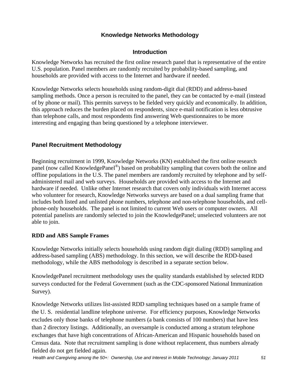# **Knowledge Networks Methodology**

# **Introduction**

Knowledge Networks has recruited the first online research panel that is representative of the entire U.S. population. Panel members are randomly recruited by probability-based sampling, and households are provided with access to the Internet and hardware if needed.

Knowledge Networks selects households using random-digit dial (RDD) and address-based sampling methods. Once a person is recruited to the panel, they can be contacted by e-mail (instead of by phone or mail). This permits surveys to be fielded very quickly and economically. In addition, this approach reduces the burden placed on respondents, since e-mail notification is less obtrusive than telephone calls, and most respondents find answering Web questionnaires to be more interesting and engaging than being questioned by a telephone interviewer.

# **Panel Recruitment Methodology**

Beginning recruitment in 1999, Knowledge Networks (KN) established the first online research panel (now called KnowledgePanel®) based on probability sampling that covers both the online and offline populations in the U.S. The panel members are randomly recruited by telephone and by selfadministered mail and web surveys. Households are provided with access to the Internet and hardware if needed. Unlike other Internet research that covers only individuals with Internet access who volunteer for research, Knowledge Networks surveys are based on a dual sampling frame that includes both listed and unlisted phone numbers, telephone and non-telephone households, and cellphone-only households. The panel is not limited to current Web users or computer owners. All potential panelists are randomly selected to join the KnowledgePanel; unselected volunteers are not able to join.

# **RDD and ABS Sample Frames**

Knowledge Networks initially selects households using random digit dialing (RDD) sampling and address-based sampling (ABS) methodology. In this section, we will describe the RDD-based methodology, while the ABS methodology is described in a separate section below.

KnowledgePanel recruitment methodology uses the quality standards established by selected RDD surveys conducted for the Federal Government (such as the CDC-sponsored National Immunization Survey).

Knowledge Networks utilizes list-assisted RDD sampling techniques based on a sample frame of the U. S. residential landline telephone universe. For efficiency purposes, Knowledge Networks excludes only those banks of telephone numbers (a bank consists of 100 numbers) that have less than 2 directory listings. Additionally, an oversample is conducted among a stratum telephone exchanges that have high concentrations of African-American and Hispanic households based on Census data. Note that recruitment sampling is done without replacement, thus numbers already fielded do not get fielded again.

 *Health and Caregiving among the 50+: Ownership, Use and Interest in Mobile Technology; January 2011 51*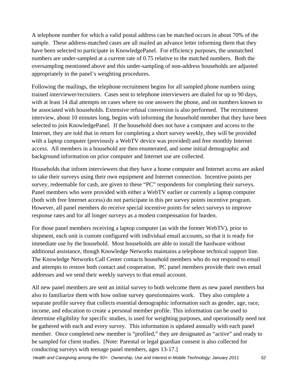A telephone number for which a valid postal address can be matched occurs in about 70% of the sample. These address-matched cases are all mailed an advance letter informing them that they have been selected to participate in KnowledgePanel. For efficiency purposes, the unmatched numbers are under-sampled at a current rate of 0.75 relative to the matched numbers. Both the oversampling mentioned above and this under-sampling of non-address households are adjusted appropriately in the panel's weighting procedures.

Following the mailings, the telephone recruitment begins for all sampled phone numbers using trained interviewer/recruiters. Cases sent to telephone interviewers are dialed for up to 90 days, with at least 14 dial attempts on cases where no one answers the phone, and on numbers known to be associated with households. Extensive refusal conversion is also performed. The recruitment interview, about 10 minutes long, begins with informing the household member that they have been selected to join KnowledgePanel. If the household does not have a computer and access to the Internet, they are told that in return for completing a short survey weekly, they will be provided with a laptop computer (previously a WebTV device was provided) and free monthly Internet access. All members in a household are then enumerated, and some initial demographic and background information on prior computer and Internet use are collected.

Households that inform interviewers that they have a home computer and Internet access are asked to take their surveys using their own equipment and Internet connection. Incentive points per survey, redeemable for cash, are given to these "PC" respondents for completing their surveys. Panel members who were provided with either a WebTV earlier or currently a laptop computer (both with free Internet access) do not participate in this per survey points incentive program. However, all panel members do receive special incentive points for select surveys to improve response rates and for all longer surveys as a modest compensation for burden.

For those panel members receiving a laptop computer (as with the former WebTV), prior to shipment, each unit is custom configured with individual email accounts, so that it is ready for immediate use by the household. Most households are able to install the hardware without additional assistance, though Knowledge Networks maintains a telephone technical support line. The Knowledge Networks Call Center contacts household members who do not respond to email and attempts to restore both contact and cooperation. PC panel members provide their own email addresses and we send their weekly surveys to that email account.

All new panel members are sent an initial survey to both welcome them as new panel members but also to familiarize them with how online survey questionnaires work. They also complete a separate profile survey that collects essential demographic information such as gender, age, race, income, and education to create a personal member profile. This information can be used to determine eligibility for specific studies, is used for weighting purposes, and operationally need not be gathered with each and every survey. This information is updated annually with each panel member. Once completed new member is "profiled," they are designated as "active" and ready to be sampled for client studies. [Note: Parental or legal guardian consent is also collected for conducting surveys with teenage panel members, ages 13-17.]

 *Health and Caregiving among the 50+: Ownership, Use and Interest in Mobile Technology; January 2011 52*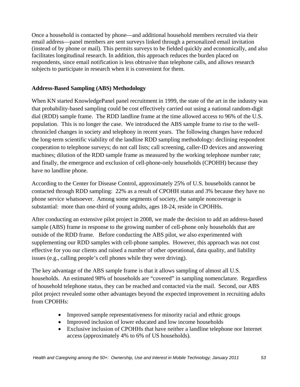Once a household is contacted by phone—and additional household members recruited via their email address—panel members are sent surveys linked through a personalized email invitation (instead of by phone or mail). This permits surveys to be fielded quickly and economically, and also facilitates longitudinal research. In addition, this approach reduces the burden placed on respondents, since email notification is less obtrusive than telephone calls, and allows research subjects to participate in research when it is convenient for them.

# **Address-Based Sampling (ABS) Methodology**

When KN started KnowledgePanel panel recruitment in 1999, the state of the art in the industry was that probability-based sampling could be cost effectively carried out using a national random-digit dial (RDD) sample frame. The RDD landline frame at the time allowed access to 96% of the U.S. population. This is no longer the case. We introduced the ABS sample frame to rise to the wellchronicled changes in society and telephony in recent years. The following changes have reduced the long-term scientific viability of the landline RDD sampling methodology: declining respondent cooperation to telephone surveys; do not call lists; call screening, caller-ID devices and answering machines; dilution of the RDD sample frame as measured by the working telephone number rate; and finally, the emergence and exclusion of cell-phone-only households (CPOHH) because they have no landline phone.

According to the Center for Disease Control, approximately 25% of U.S. households cannot be contacted through RDD sampling: 22% as a result of CPOHH status and 3% because they have no phone service whatsoever. Among some segments of society, the sample noncoverage is substantial: more than one-third of young adults, ages 18-24, reside in CPOHHs.

After conducting an extensive pilot project in 2008, we made the decision to add an address-based sample (ABS) frame in response to the growing number of cell-phone only households that are outside of the RDD frame. Before conducting the ABS pilot, we also experimented with supplementing our RDD samples with cell-phone samples. However, this approach was not cost effective for you our clients and raised a number of other operational, data quality, and liability issues (e.g., calling people's cell phones while they were driving).

The key advantage of the ABS sample frame is that it allows sampling of almost all U.S. households. An estimated 98% of households are "covered" in sampling nomenclature. Regardless of household telephone status, they can be reached and contacted via the mail. Second, our ABS pilot project revealed some other advantages beyond the expected improvement in recruiting adults from CPOHHs:

- Improved sample representativeness for minority racial and ethnic groups
- Improved inclusion of lower educated and low income households
- Exclusive inclusion of CPOHHs that have neither a landline telephone nor Internet access (approximately 4% to 6% of US households).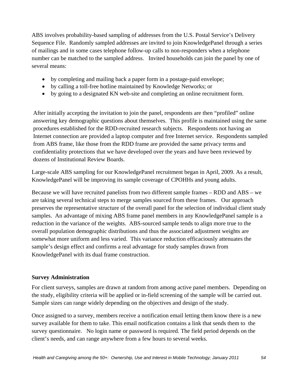ABS involves probability-based sampling of addresses from the U.S. Postal Service's Delivery Sequence File. Randomly sampled addresses are invited to join KnowledgePanel through a series of mailings and in some cases telephone follow-up calls to non-responders when a telephone number can be matched to the sampled address. Invited households can join the panel by one of several means:

- by completing and mailing back a paper form in a postage-paid envelope;
- by calling a toll-free hotline maintained by Knowledge Networks; or
- by going to a designated KN web-site and completing an online recruitment form.

After initially accepting the invitation to join the panel, respondents are then "profiled" online answering key demographic questions about themselves. This profile is maintained using the same procedures established for the RDD-recruited research subjects. Respondents not having an Internet connection are provided a laptop computer and free Internet service. Respondents sampled from ABS frame, like those from the RDD frame are provided the same privacy terms and confidentiality protections that we have developed over the years and have been reviewed by dozens of Institutional Review Boards.

Large-scale ABS sampling for our KnowledgePanel recruitment began in April, 2009. As a result, KnowledgePanel will be improving its sample coverage of CPOHHs and young adults.

Because we will have recruited panelists from two different sample frames – RDD and ABS – we are taking several technical steps to merge samples sourced from these frames. Our approach preserves the representative structure of the overall panel for the selection of individual client study samples. An advantage of mixing ABS frame panel members in any KnowledgePanel sample is a reduction in the variance of the weights. ABS-sourced sample tends to align more true to the overall population demographic distributions and thus the associated adjustment weights are somewhat more uniform and less varied. This variance reduction efficaciously attenuates the sample's design effect and confirms a real advantage for study samples drawn from KnowledgePanel with its dual frame construction.

# **Survey Administration**

For client surveys, samples are drawn at random from among active panel members. Depending on the study, eligibility criteria will be applied or in-field screening of the sample will be carried out. Sample sizes can range widely depending on the objectives and design of the study.

Once assigned to a survey, members receive a notification email letting them know there is a new survey available for them to take. This email notification contains a link that sends them to the survey questionnaire. No login name or password is required. The field period depends on the client's needs, and can range anywhere from a few hours to several weeks.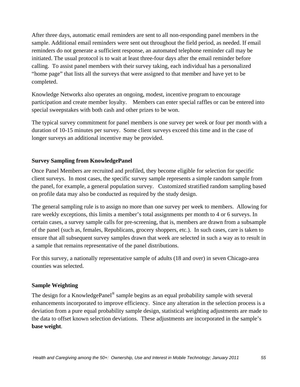After three days, automatic email reminders are sent to all non-responding panel members in the sample. Additional email reminders were sent out throughout the field period, as needed. If email reminders do not generate a sufficient response, an automated telephone reminder call may be initiated. The usual protocol is to wait at least three-four days after the email reminder before calling. To assist panel members with their survey taking, each individual has a personalized "home page" that lists all the surveys that were assigned to that member and have yet to be completed.

Knowledge Networks also operates an ongoing, modest, incentive program to encourage participation and create member loyalty. Members can enter special raffles or can be entered into special sweepstakes with both cash and other prizes to be won.

The typical survey commitment for panel members is one survey per week or four per month with a duration of 10-15 minutes per survey. Some client surveys exceed this time and in the case of longer surveys an additional incentive may be provided.

# **Survey Sampling from KnowledgePanel**

Once Panel Members are recruited and profiled, they become eligible for selection for specific client surveys. In most cases, the specific survey sample represents a simple random sample from the panel, for example, a general population survey. Customized stratified random sampling based on profile data may also be conducted as required by the study design.

The general sampling rule is to assign no more than one survey per week to members. Allowing for rare weekly exceptions, this limits a member's total assignments per month to 4 or 6 surveys. In certain cases, a survey sample calls for pre-screening, that is, members are drawn from a subsample of the panel (such as, females, Republicans, grocery shoppers, etc.). In such cases, care is taken to ensure that all subsequent survey samples drawn that week are selected in such a way as to result in a sample that remains representative of the panel distributions.

For this survey, a nationally representative sample of adults (18 and over) in seven Chicago-area counties was selected.

# **Sample Weighting**

The design for a KnowledgePanel<sup>®</sup> sample begins as an equal probability sample with several enhancements incorporated to improve efficiency. Since any alteration in the selection process is a deviation from a pure equal probability sample design, statistical weighting adjustments are made to the data to offset known selection deviations. These adjustments are incorporated in the sample's **base weight**.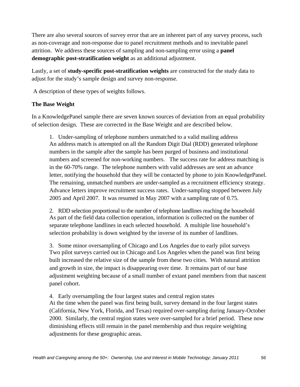There are also several sources of survey error that are an inherent part of any survey process, such as non-coverage and non-response due to panel recruitment methods and to inevitable panel attrition. We address these sources of sampling and non-sampling error using a **panel demographic post-stratification weight** as an additional adjustment.

Lastly, a set of **study-specific post-stratification weights** are constructed for the study data to adjust for the study's sample design and survey non-response.

A description of these types of weights follows.

# **The Base Weight**

In a KnowledgePanel sample there are seven known sources of deviation from an equal probability of selection design. These are corrected in the Base Weight and are described below.

1. Under-sampling of telephone numbers unmatched to a valid mailing address An address match is attempted on all the Random Digit Dial (RDD) generated telephone numbers in the sample after the sample has been purged of business and institutional numbers and screened for non-working numbers. The success rate for address matching is in the 60-70% range. The telephone numbers with valid addresses are sent an advance letter, notifying the household that they will be contacted by phone to join KnowledgePanel. The remaining, unmatched numbers are under-sampled as a recruitment efficiency strategy. Advance letters improve recruitment success rates. Under-sampling stopped between July 2005 and April 2007. It was resumed in May 2007 with a sampling rate of 0.75.

2. RDD selection proportional to the number of telephone landlines reaching the household As part of the field data collection operation, information is collected on the number of separate telephone landlines in each selected household. A multiple line household's selection probability is down weighted by the inverse of its number of landlines.

3. Some minor oversampling of Chicago and Los Angeles due to early pilot surveys Two pilot surveys carried out in Chicago and Los Angeles when the panel was first being built increased the relative size of the sample from these two cities. With natural attrition and growth in size, the impact is disappearing over time. It remains part of our base adjustment weighting because of a small number of extant panel members from that nascent panel cohort.

4. Early oversampling the four largest states and central region states At the time when the panel was first being built, survey demand in the four largest states (California, New York, Florida, and Texas) required over-sampling during January-October 2000. Similarly, the central region states were over-sampled for a brief period. These now diminishing effects still remain in the panel membership and thus require weighting adjustments for these geographic areas.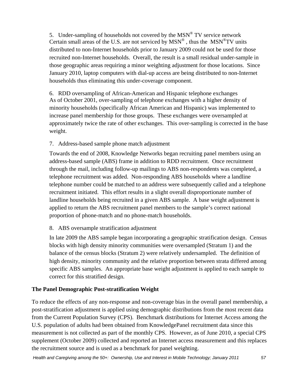5. Under-sampling of households not covered by the  $\text{MSN}^{\circledast}$  TV service network Certain small areas of the U.S. are not serviced by  $\text{MSN}^{\circledR}$ , thus the  $\text{MSN}^{\circledR}$ TV units distributed to non-Internet households prior to January 2009 could not be used for those recruited non-Internet households. Overall, the result is a small residual under-sample in those geographic areas requiring a minor weighting adjustment for those locations. Since January 2010, laptop computers with dial-up access are being distributed to non-Internet households thus eliminating this under-coverage component.

6. RDD oversampling of African-American and Hispanic telephone exchanges As of October 2001, over-sampling of telephone exchanges with a higher density of minority households (specifically African American and Hispanic) was implemented to increase panel membership for those groups. These exchanges were oversampled at approximately twice the rate of other exchanges. This over-sampling is corrected in the base weight.

# 7. Address-based sample phone match adjustment

Towards the end of 2008, Knowledge Networks began recruiting panel members using an address-based sample (ABS) frame in addition to RDD recruitment. Once recruitment through the mail, including follow-up mailings to ABS non-respondents was completed, a telephone recruitment was added. Non-responding ABS households where a landline telephone number could be matched to an address were subsequently called and a telephone recruitment initiated. This effort results in a slight overall disproportionate number of landline households being recruited in a given ABS sample. A base weight adjustment is applied to return the ABS recruitment panel members to the sample's correct national proportion of phone-match and no phone-match households.

# 8. ABS oversample stratification adjustment

In late 2009 the ABS sample began incorporating a geographic stratification design. Census blocks with high density minority communities were oversampled (Stratum 1) and the balance of the census blocks (Stratum 2) were relatively undersampled. The definition of high density, minority community and the relative proportion between strata differed among specific ABS samples. An appropriate base weight adjustment is applied to each sample to correct for this stratified design.

# **The Panel Demographic Post-stratification Weight**

To reduce the effects of any non-response and non-coverage bias in the overall panel membership, a post-stratification adjustment is applied using demographic distributions from the most recent data from the Current Population Survey (CPS). Benchmark distributions for Internet Access among the U.S. population of adults had been obtained from KnowledgePanel recruitment data since this measurement is not collected as part of the monthly CPS. However, as of June 2010, a special CPS supplement (October 2009) collected and reported an Internet access measurement and this replaces the recruitment source and is used as a benchmark for panel weighting.